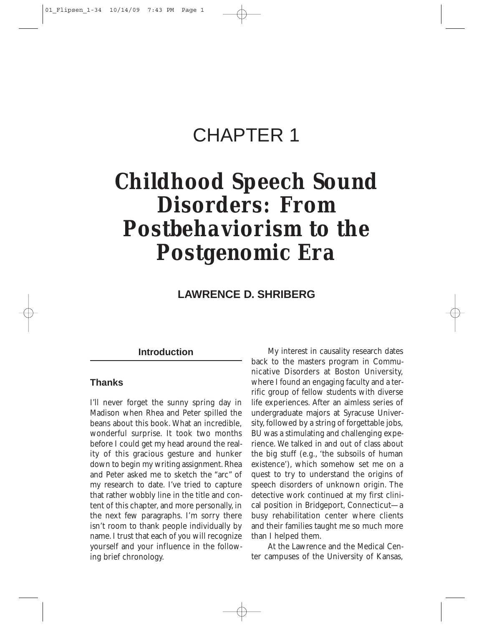## CHAPTER 1

# *Childhood Speech Sound Disorders: From Postbehaviorism to the Postgenomic Era*

## **LAWRENCE D. SHRIBERG**

## **Introduction**

#### **Thanks**

I'll never forget the sunny spring day in Madison when Rhea and Peter spilled the beans about this book. What an incredible, wonderful surprise. It took two months before I could get my head around the reality of this gracious gesture and hunker down to begin my writing assignment. Rhea and Peter asked me to sketch the "arc" of my research to date. I've tried to capture that rather wobbly line in the title and content of this chapter, and more personally, in the next few paragraphs. I'm sorry there isn't room to thank people individually by name. I trust that each of you will recognize yourself and your influence in the following brief chronology.

My interest in causality research dates back to the masters program in Communicative Disorders at Boston University, where I found an engaging faculty and a terrific group of fellow students with diverse life experiences. After an aimless series of undergraduate majors at Syracuse University, followed by a string of forgettable jobs, BU was a stimulating and challenging experience. We talked in and out of class about the big stuff (e.g., 'the subsoils of human existence'), which somehow set me on a quest to try to understand the origins of speech disorders of unknown origin. The detective work continued at my first clinical position in Bridgeport, Connecticut—a busy rehabilitation center where clients and their families taught me so much more than I helped them.

At the Lawrence and the Medical Center campuses of the University of Kansas,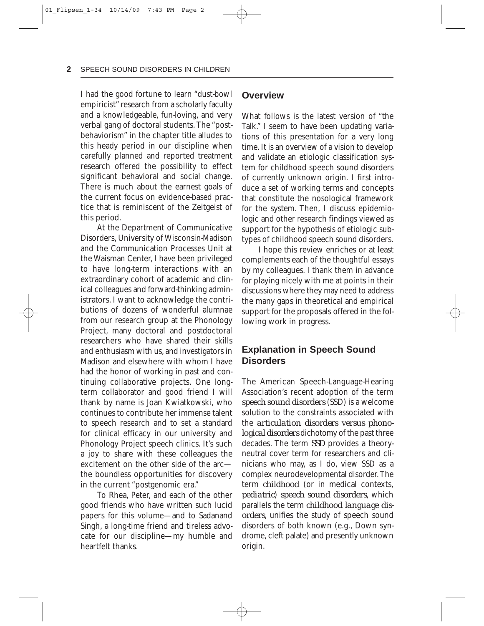I had the good fortune to learn "dust-bowl empiricist" research from a scholarly faculty and a knowledgeable, fun-loving, and very verbal gang of doctoral students. The "postbehaviorism" in the chapter title alludes to this heady period in our discipline when carefully planned and reported treatment research offered the possibility to effect significant behavioral and social change. There is much about the earnest goals of the current focus on evidence-based practice that is reminiscent of the Zeitgeist of this period.

At the Department of Communicative Disorders, University of Wisconsin-Madison and the Communication Processes Unit at the Waisman Center, I have been privileged to have long-term interactions with an extraordinary cohort of academic and clinical colleagues and forward-thinking administrators. I want to acknowledge the contributions of dozens of wonderful alumnae from our research group at the Phonology Project, many doctoral and postdoctoral researchers who have shared their skills and enthusiasm with us, and investigators in Madison and elsewhere with whom I have had the honor of working in past and continuing collaborative projects. One longterm collaborator and good friend I will thank by name is Joan Kwiatkowski, who continues to contribute her immense talent to speech research and to set a standard for clinical efficacy in our university and Phonology Project speech clinics. It's such a joy to share with these colleagues the excitement on the other side of the arc the boundless opportunities for discovery in the current "postgenomic era."

To Rhea, Peter, and each of the other good friends who have written such lucid papers for this volume—and to Sadanand Singh, a long-time friend and tireless advocate for our discipline—my humble and heartfelt thanks.

#### **Overview**

What follows is the latest version of "the Talk." I seem to have been updating variations of this presentation for a very long time. It is an overview of a vision to develop and validate an etiologic classification system for childhood speech sound disorders of currently unknown origin. I first introduce a set of working terms and concepts that constitute the nosological framework for the system. Then, I discuss epidemiologic and other research findings viewed as support for the hypothesis of etiologic subtypes of childhood speech sound disorders.

I hope this review enriches or at least complements each of the thoughtful essays by my colleagues. I thank them in advance for playing nicely with me at points in their discussions where they may need to address the many gaps in theoretical and empirical support for the proposals offered in the following work in progress.

## **Explanation in Speech Sound Disorders**

The American Speech-Language-Hearing Association's recent adoption of the term *speech sound disorders* (SSD) is a welcome solution to the constraints associated with the *articulation disorders versus phonological disorders* dichotomy of the past three decades. The term *SSD* provides a theoryneutral cover term for researchers and clinicians who may, as I do, view SSD as a complex neurodevelopmental disorder.The term *childhood* (or in medical contexts, *pediatric*) *speech sound disorders*, which parallels the term *childhood language disorders*, unifies the study of speech sound disorders of both known (e.g., Down syndrome, cleft palate) and presently unknown origin.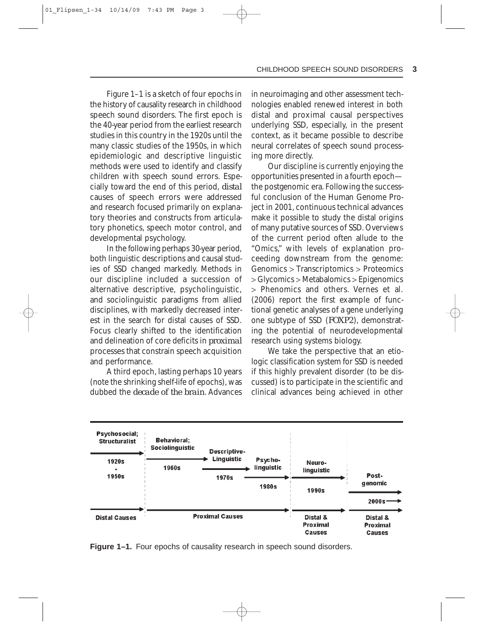Figure 1–1 is a sketch of four epochs in the history of causality research in childhood speech sound disorders. The first epoch is the 40-year period from the earliest research studies in this country in the 1920s until the many classic studies of the 1950s, in which epidemiologic and descriptive linguistic methods were used to identify and classify children with speech sound errors. Especially toward the end of this period, *distal* causes of speech errors were addressed and research focused primarily on explanatory theories and constructs from articulatory phonetics, speech motor control, and developmental psychology.

In the following perhaps 30-year period, both linguistic descriptions and causal studies of SSD changed markedly. Methods in our discipline included a succession of alternative descriptive, psycholinguistic, and sociolinguistic paradigms from allied disciplines, with markedly decreased interest in the search for distal causes of SSD. Focus clearly shifted to the identification and delineation of core deficits in *proximal* processes that constrain speech acquisition and performance.

A third epoch, lasting perhaps 10 years (note the shrinking shelf-life of epochs), was dubbed the *decade of the brain*. Advances in neuroimaging and other assessment technologies enabled renewed interest in both distal and proximal causal perspectives underlying SSD, especially, in the present context, as it became possible to describe neural correlates of speech sound processing more directly.

Our discipline is currently enjoying the opportunities presented in a fourth epoch the postgenomic era. Following the successful conclusion of the Human Genome Project in 2001, continuous technical advances make it possible to study the distal origins of many putative sources of SSD. Overviews of the current period often allude to the "Omics," with levels of explanation proceeding downstream from the genome: Genomics > Transcriptomics > Proteomics > Glycomics > Metabalomics > Epigenomics > Phenomics and others. Vernes et al. (2006) report the first example of functional genetic analyses of a gene underlying one subtype of SSD (*FOXP2*), demonstrating the potential of neurodevelopmental research using systems biology.

We take the perspective that an etiologic classification system for SSD is needed if this highly prevalent disorder (to be discussed) is to participate in the scientific and clinical advances being achieved in other



**Figure 1–1.** Four epochs of causality research in speech sound disorders.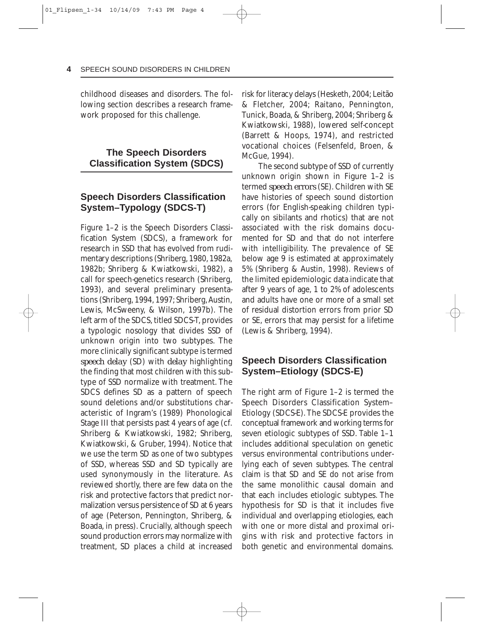childhood diseases and disorders. The following section describes a research framework proposed for this challenge.

## **The Speech Disorders Classification System (SDCS)**

## **Speech Disorders Classification System–Typology (SDCS-T)**

Figure 1–2 is the Speech Disorders Classification System (SDCS), a framework for research in SSD that has evolved from rudimentary descriptions (Shriberg, 1980, 1982a, 1982b; Shriberg & Kwiatkowski, 1982), a call for speech-genetics research (Shriberg, 1993), and several preliminary presentations (Shriberg, 1994, 1997; Shriberg, Austin, Lewis, McSweeny, & Wilson, 1997b). The left arm of the SDCS, titled SDCS-T, provides a typologic nosology that divides SSD of unknown origin into two subtypes. The more clinically significant subtype is termed *speech delay* (SD) with *delay* highlighting the finding that most children with this subtype of SSD normalize with treatment. The SDCS defines SD as a pattern of speech sound deletions and/or substitutions characteristic of Ingram's (1989) Phonological Stage III that persists past 4 years of age (cf. Shriberg & Kwiatkowski, 1982; Shriberg, Kwiatkowski, & Gruber, 1994). Notice that we use the term SD as one of two subtypes of SSD, whereas SSD and SD typically are used synonymously in the literature. As reviewed shortly, there are few data on the risk and protective factors that predict normalization versus persistence of SD at 6 years of age (Peterson, Pennington, Shriberg, & Boada, in press). Crucially, although speech sound production errors may normalize with treatment, SD places a child at increased

risk for literacy delays (Hesketh, 2004; Leitão & Fletcher, 2004; Raitano, Pennington, Tunick, Boada, & Shriberg, 2004; Shriberg & Kwiatkowski, 1988), lowered self-concept (Barrett & Hoops, 1974), and restricted vocational choices (Felsenfeld, Broen, & McGue, 1994).

The second subtype of SSD of currently unknown origin shown in Figure 1–2 is termed *speech errors* (SE). Children with SE have histories of speech sound distortion errors (for English-speaking children typically on sibilants and rhotics) that are not associated with the risk domains documented for SD and that do not interfere with intelligibility. The prevalence of SE below age 9 is estimated at approximately 5% (Shriberg & Austin, 1998). Reviews of the limited epidemiologic data indicate that after 9 years of age, 1 to 2% of adolescents and adults have one or more of a small set of residual distortion errors from prior SD or SE, errors that may persist for a lifetime (Lewis & Shriberg, 1994).

## **Speech Disorders Classification System–Etiology (SDCS-E)**

The right arm of Figure 1–2 is termed the Speech Disorders Classification System– Etiology (SDCS-E). The SDCS-E provides the conceptual framework and working terms for seven etiologic subtypes of SSD. Table 1–1 includes additional speculation on genetic versus environmental contributions underlying each of seven subtypes. The central claim is that SD and SE do not arise from the same monolithic causal domain and that each includes etiologic subtypes. The hypothesis for SD is that it includes five individual and overlapping etiologies, each with one or more distal and proximal origins with risk and protective factors in both genetic and environmental domains.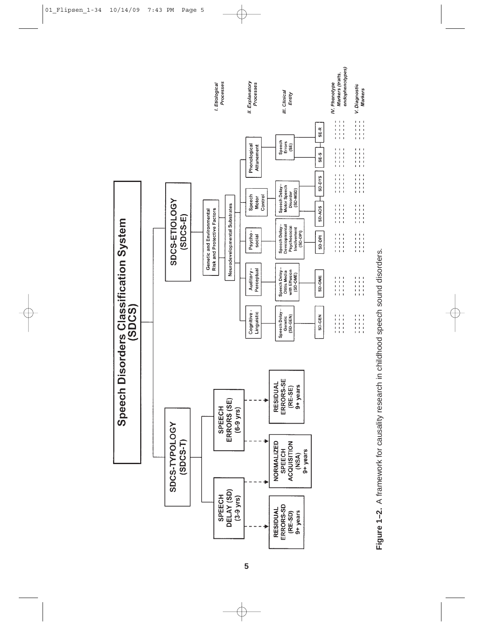

Figure 1-2. A framework for causality research in childhood speech sound disorders. **Figure 1–2.** A framework for causality research in childhood speech sound disorders.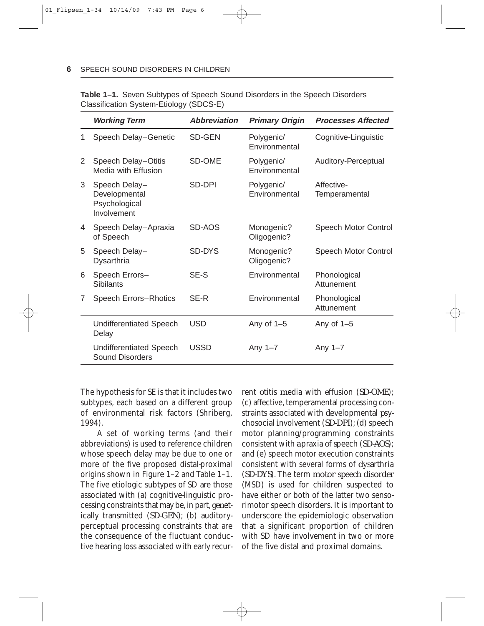|   | <b>Working Term</b>                                            | <b>Abbreviation</b> | <b>Primary Origin</b>       | <b>Processes Affected</b>   |  |
|---|----------------------------------------------------------------|---------------------|-----------------------------|-----------------------------|--|
| 1 | Speech Delay-Genetic                                           | SD-GEN              | Polygenic/<br>Environmental | Cognitive-Linguistic        |  |
| 2 | Speech Delay-Otitis<br>Media with Effusion                     | SD-OME              | Polygenic/<br>Environmental | Auditory-Perceptual         |  |
| 3 | Speech Delay-<br>Developmental<br>Psychological<br>Involvement | SD-DPI              | Polygenic/<br>Environmental | Affective-<br>Temperamental |  |
| 4 | Speech Delay-Apraxia<br>of Speech                              | SD-AOS              | Monogenic?<br>Oligogenic?   | Speech Motor Control        |  |
| 5 | Speech Delay-<br>Dysarthria                                    | SD-DYS              | Monogenic?<br>Oligogenic?   | Speech Motor Control        |  |
| 6 | Speech Errors-<br><b>Sibilants</b>                             | SE-S                | Environmental               | Phonological<br>Attunement  |  |
| 7 | Speech Errors-Rhotics                                          | SE-R                | Environmental               | Phonological<br>Attunement  |  |
|   | <b>Undifferentiated Speech</b><br>Delay                        | <b>USD</b>          | Any of $1-5$                | Any of $1-5$                |  |
|   | <b>Undifferentiated Speech</b><br>Sound Disorders              | <b>USSD</b>         | Any $1-7$                   | Any $1-7$                   |  |

**Table 1–1.** Seven Subtypes of Speech Sound Disorders in the Speech Disorders Classification System-Etiology (SDCS-E)

The hypothesis for SE is that it includes two subtypes, each based on a different group of environmental risk factors (Shriberg, 1994).

A set of working terms (and their abbreviations) is used to reference children whose speech delay may be due to one or more of the five proposed distal-proximal origins shown in Figure 1–2 and Table 1–1. The five etiologic subtypes of SD are those associated with (a) cognitive-linguistic processing constraints that may be,in part, *gen*etically transmitted (*SD-GEN*); (b) auditoryperceptual processing constraints that are the consequence of the fluctuant conductive hearing loss associated with early recurrent *o*titis *m*edia with *e*ffusion (*SD-OME*); (c) affective, temperamental processing constraints associated with *d*evelopmental *p*sychosocial *i*nvolvement (*SD-DPI*); (d) speech motor planning/programming constraints consistent with *a*praxia *o*f *s*peech (*SD-AOS*); and (e) speech motor execution constraints consistent with several forms of *dys*arthria (*SD-DYS*). The term *motor speech disorder* (MSD) is used for children suspected to have either or both of the latter two sensorimotor speech disorders. It is important to underscore the epidemiologic observation that a significant proportion of children with SD have involvement in two or more of the five distal and proximal domains.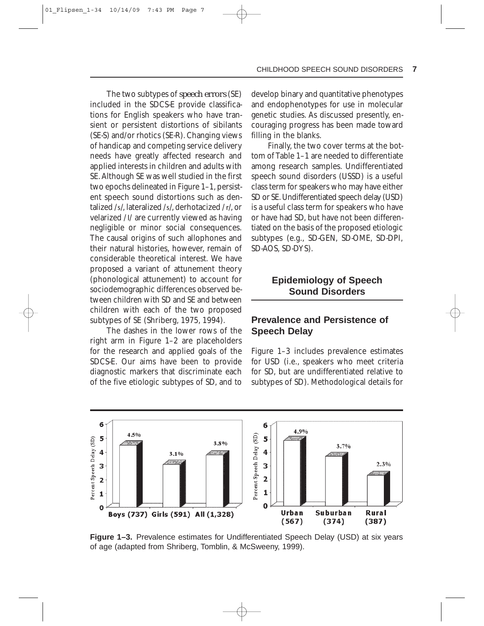The two subtypes of *speech errors* (SE) included in the SDCS-E provide classifications for English speakers who have transient or persistent distortions of sibilants (SE-S) and/or rhotics (SE-R). Changing views of handicap and competing service delivery needs have greatly affected research and applied interests in children and adults with SE. Although SE was well studied in the first two epochs delineated in Figure 1–1, persistent speech sound distortions such as dentalized /s/, lateralized /s/, derhotacized /r/, or velarized /l/ are currently viewed as having negligible or minor social consequences. The causal origins of such allophones and their natural histories, however, remain of considerable theoretical interest. We have proposed a variant of attunement theory (phonological attunement) to account for sociodemographic differences observed between children with SD and SE and between children with each of the two proposed subtypes of SE (Shriberg, 1975, 1994).

The dashes in the lower rows of the right arm in Figure 1–2 are placeholders for the research and applied goals of the SDCS-E. Our aims have been to provide diagnostic markers that discriminate each of the five etiologic subtypes of SD, and to

develop binary and quantitative phenotypes and endophenotypes for use in molecular genetic studies. As discussed presently, encouraging progress has been made toward filling in the blanks.

Finally, the two cover terms at the bottom of Table 1–1 are needed to differentiate among research samples. Undifferentiated speech sound disorders (USSD) is a useful class term for speakers who may have either SD or SE.Undifferentiated speech delay (USD) is a useful class term for speakers who have or have had SD, but have not been differentiated on the basis of the proposed etiologic subtypes (e.g., SD-GEN, SD-OME, SD-DPI, SD-AOS, SD-DYS).

#### **Epidemiology of Speech Sound Disorders**

## **Prevalence and Persistence of Speech Delay**

Figure 1–3 includes prevalence estimates for USD (i.e., speakers who meet criteria for SD, but are undifferentiated relative to subtypes of SD). Methodological details for



**Figure 1–3.** Prevalence estimates for Undifferentiated Speech Delay (USD) at six years of age (adapted from Shriberg, Tomblin, & McSweeny, 1999).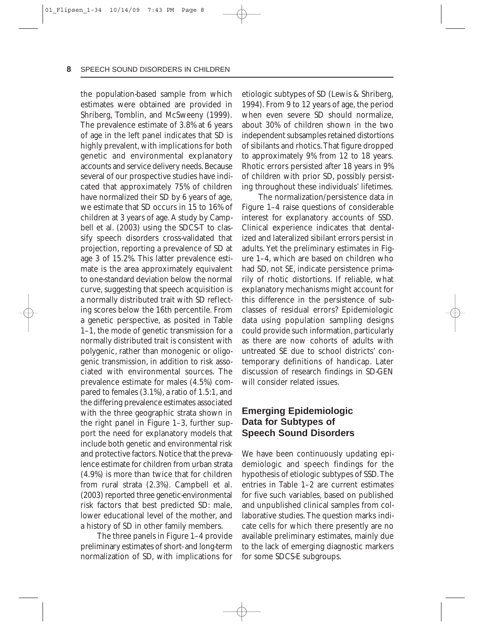the population-based sample from which estimates were obtained are provided in Shriberg, Tomblin, and McSweeny (1999). The prevalence estimate of 3.8% at 6 years of age in the left panel indicates that SD is highly prevalent, with implications for both genetic and environmental explanatory accounts and service delivery needs. Because several of our prospective studies have indicated that approximately 75% of children have normalized their SD by 6 years of age, we estimate that SD occurs in 15 to 16% of children at 3 years of age. A study by Campbell et al. (2003) using the SDCS-T to classify speech disorders cross-validated that projection, reporting a prevalence of SD at age 3 of 15.2%. This latter prevalence estimate is the area approximately equivalent to one-standard deviation below the normal curve, suggesting that speech acquisition is a normally distributed trait with SD reflecting scores below the 16th percentile. From a genetic perspective, as posited in Table 1–1, the mode of genetic transmission for a normally distributed trait is consistent with polygenic, rather than monogenic or oligogenic transmission, in addition to risk associated with environmental sources. The prevalence estimate for males (4.5%) compared to females (3.1%), a ratio of 1.5:1, and the differing prevalence estimates associated with the three geographic strata shown in the right panel in Figure 1–3, further support the need for explanatory models that include both genetic and environmental risk and protective factors. Notice that the prevalence estimate for children from urban strata (4.9%) is more than twice that for children from rural strata (2.3%). Campbell et al. (2003) reported three genetic-environmental risk factors that best predicted SD: male, lower educational level of the mother, and a history of SD in other family members.

The three panels in Figure 1–4 provide preliminary estimates of short- and long-term normalization of SD, with implications for etiologic subtypes of SD (Lewis & Shriberg, 1994). From 9 to 12 years of age, the period when even severe SD should normalize, about 30% of children shown in the two independent subsamples retained distortions of sibilants and rhotics.That figure dropped to approximately 9% from 12 to 18 years. Rhotic errors persisted after 18 years in 9% of children with prior SD, possibly persisting throughout these individuals' lifetimes.

The normalization/persistence data in Figure 1–4 raise questions of considerable interest for explanatory accounts of SSD. Clinical experience indicates that dentalized and lateralized sibilant errors persist in adults. Yet the preliminary estimates in Figure 1–4, which are based on children who had SD, not SE, indicate persistence primarily of rhotic distortions. If reliable, what explanatory mechanisms might account for this difference in the persistence of subclasses of residual errors? Epidemiologic data using population sampling designs could provide such information, particularly as there are now cohorts of adults with untreated SE due to school districts' contemporary definitions of handicap. Later discussion of research findings in SD-GEN will consider related issues.

## **Emerging Epidemiologic Data for Subtypes of Speech Sound Disorders**

We have been continuously updating epidemiologic and speech findings for the hypothesis of etiologic subtypes of SSD.The entries in Table 1–2 are current estimates for five such variables, based on published and unpublished clinical samples from collaborative studies. The question marks indicate cells for which there presently are no available preliminary estimates, mainly due to the lack of emerging diagnostic markers for some SDCS-E subgroups.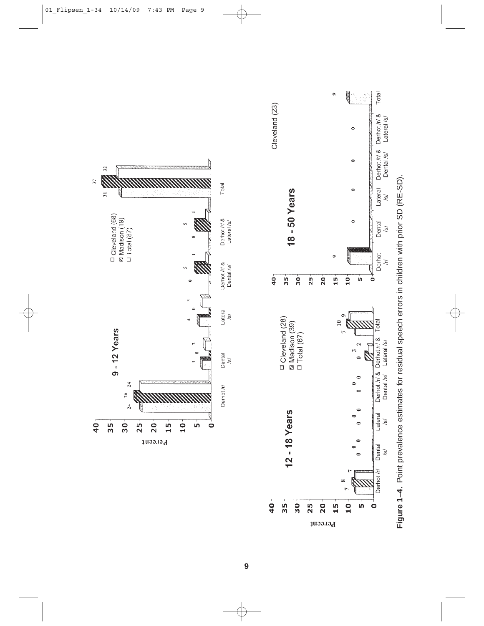

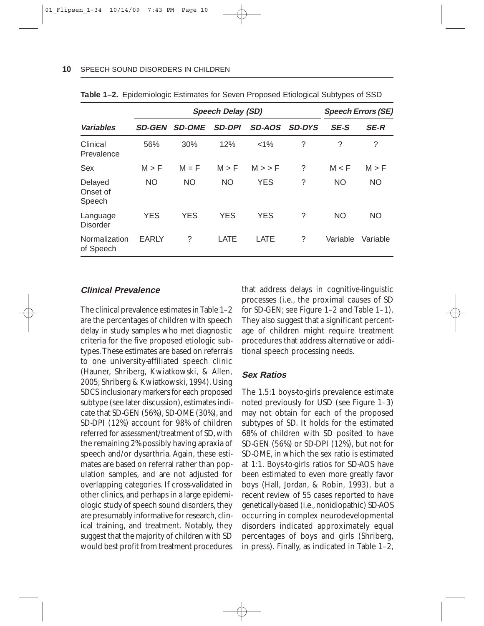|                               |                      | <b>Speech Delay (SD)</b> | <b>Speech Errors (SE)</b> |               |               |           |             |
|-------------------------------|----------------------|--------------------------|---------------------------|---------------|---------------|-----------|-------------|
| <b>Variables</b>              | <i><b>SD-GEN</b></i> | <b>SD-OME</b>            | <b>SD-DPI</b>             | <b>SD-AOS</b> | <b>SD-DYS</b> | SE-S      | <b>SE-R</b> |
| Clinical<br>Prevalence        | 56%                  | 30%                      | 12%                       | $< 1\%$       | ?             | ?         | ?           |
| <b>Sex</b>                    | M > F                | $M = F$                  | M > F                     | M > F         | ?             | M < F     | M > F       |
| Delayed<br>Onset of<br>Speech | <b>NO</b>            | <b>NO</b>                | <b>NO</b>                 | <b>YES</b>    | ?             | <b>NO</b> | <b>NO</b>   |
| Language<br><b>Disorder</b>   | <b>YES</b>           | <b>YES</b>               | <b>YES</b>                | <b>YES</b>    | ?             | <b>NO</b> | <b>NO</b>   |
| Normalization<br>of Speech    | <b>EARLY</b>         | ?                        | LATE                      | LATE          | ?             | Variable  | Variable    |

**Table 1–2.** Epidemiologic Estimates for Seven Proposed Etiological Subtypes of SSD

#### **Clinical Prevalence**

The clinical prevalence estimates in Table 1–2 are the percentages of children with speech delay in study samples who met diagnostic criteria for the five proposed etiologic subtypes.These estimates are based on referrals to one university-affiliated speech clinic (Hauner, Shriberg, Kwiatkowski, & Allen, 2005; Shriberg & Kwiatkowski, 1994). Using SDCS inclusionary markers for each proposed subtype (see later discussion), estimates indicate that SD-GEN (56%), SD-OME (30%), and SD-DPI (12%) account for 98% of children referred for assessment/treatment of SD, with the remaining 2% possibly having apraxia of speech and/or dysarthria. Again, these estimates are based on referral rather than population samples, and are not adjusted for overlapping categories. If cross-validated in other clinics, and perhaps in a large epidemiologic study of speech sound disorders, they are presumably informative for research, clinical training, and treatment. Notably, they suggest that the majority of children with SD would best profit from treatment procedures

that address delays in cognitive-linguistic processes (i.e., the proximal causes of SD for SD-GEN; see Figure 1–2 and Table 1–1). They also suggest that a significant percentage of children might require treatment procedures that address alternative or additional speech processing needs.

#### **Sex Ratios**

The 1.5:1 boys-to-girls prevalence estimate noted previously for USD (see Figure 1–3) may not obtain for each of the proposed subtypes of SD. It holds for the estimated 68% of children with SD posited to have SD-GEN (56%) or SD-DPI (12%), but not for SD-OME, in which the sex ratio is estimated at 1:1. Boys-to-girls ratios for SD-AOS have been estimated to even more greatly favor boys (Hall, Jordan, & Robin, 1993), but a recent review of 55 cases reported to have genetically-based (i.e., nonidiopathic) SD-AOS occurring in complex neurodevelopmental disorders indicated approximately equal percentages of boys and girls (Shriberg, in press). Finally, as indicated in Table 1–2,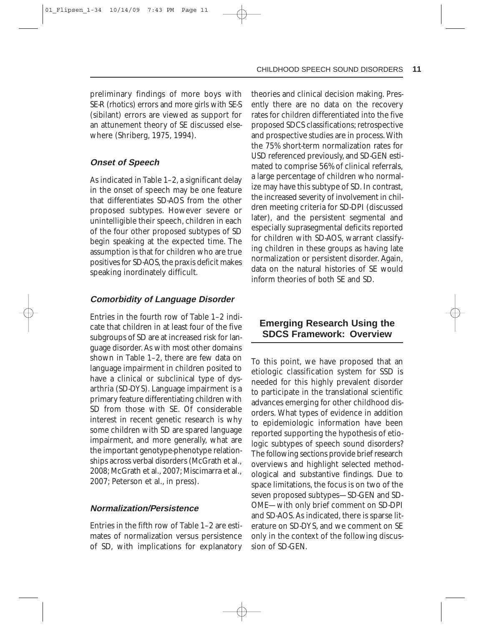preliminary findings of more boys with SE-R (rhotics) errors and more girls with SE-S (sibilant) errors are viewed as support for an attunement theory of SE discussed elsewhere (Shriberg, 1975, 1994).

#### **Onset of Speech**

As indicated in Table 1–2, a significant delay in the onset of speech may be one feature that differentiates SD-AOS from the other proposed subtypes. However severe or unintelligible their speech, children in each of the four other proposed subtypes of SD begin speaking at the expected time. The assumption is that for children who are true positives for SD-AOS, the praxis deficit makes speaking inordinately difficult.

#### **Comorbidity of Language Disorder**

Entries in the fourth row of Table 1–2 indicate that children in at least four of the five subgroups of SD are at increased risk for language disorder. As with most other domains shown in Table 1–2, there are few data on language impairment in children posited to have a clinical or subclinical type of dysarthria (SD-DYS). Language impairment is a primary feature differentiating children with SD from those with SE. Of considerable interest in recent genetic research is why some children with SD are spared language impairment, and more generally, what are the important genotype-phenotype relationships across verbal disorders (McGrath et al., 2008; McGrath et al., 2007; Miscimarra et al., 2007; Peterson et al., in press).

#### **Normalization/Persistence**

Entries in the fifth row of Table 1–2 are estimates of normalization versus persistence of SD, with implications for explanatory theories and clinical decision making. Presently there are no data on the recovery rates for children differentiated into the five proposed SDCS classifications; retrospective and prospective studies are in process.With the 75% short-term normalization rates for USD referenced previously, and SD-GEN estimated to comprise 56% of clinical referrals, a large percentage of children who normalize may have this subtype of SD. In contrast, the increased severity of involvement in children meeting criteria for SD-DPI (discussed later), and the persistent segmental and especially suprasegmental deficits reported for children with SD-AOS, warrant classifying children in these groups as having late normalization or persistent disorder. Again, data on the natural histories of SE would inform theories of both SE and SD.

#### **Emerging Research Using the SDCS Framework: Overview**

To this point, we have proposed that an etiologic classification system for SSD is needed for this highly prevalent disorder to participate in the translational scientific advances emerging for other childhood disorders. What types of evidence in addition to epidemiologic information have been reported supporting the hypothesis of etiologic subtypes of speech sound disorders? The following sections provide brief research overviews and highlight selected methodological and substantive findings. Due to space limitations, the focus is on two of the seven proposed subtypes—SD-GEN and SD-OME—with only brief comment on SD-DPI and SD-AOS. As indicated, there is sparse literature on SD-DYS, and we comment on SE only in the context of the following discussion of SD-GEN.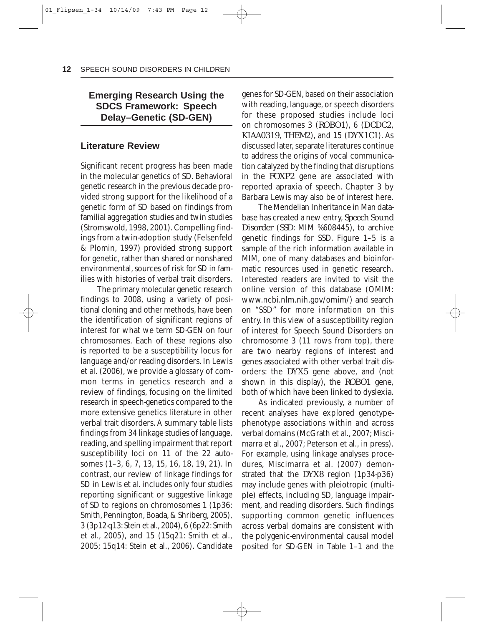## **Emerging Research Using the SDCS Framework: Speech Delay–Genetic (SD-GEN)**

#### **Literature Review**

Significant recent progress has been made in the molecular genetics of SD. Behavioral genetic research in the previous decade provided strong support for the likelihood of a genetic form of SD based on findings from familial aggregation studies and twin studies (Stromswold, 1998, 2001). Compelling findings from a twin-adoption study (Felsenfeld & Plomin, 1997) provided strong support for genetic, rather than shared or nonshared environmental, sources of risk for SD in families with histories of verbal trait disorders.

The primary molecular genetic research findings to 2008, using a variety of positional cloning and other methods, have been the identification of significant regions of interest for what we term SD-GEN on four chromosomes. Each of these regions also is reported to be a susceptibility locus for language and/or reading disorders. In Lewis et al. (2006), we provide a glossary of common terms in genetics research and a review of findings, focusing on the limited research in speech-genetics compared to the more extensive genetics literature in other verbal trait disorders. A summary table lists findings from 34 linkage studies of language, reading, and spelling impairment that report susceptibility loci on 11 of the 22 autosomes (1–3, 6, 7, 13, 15, 16, 18, 19, 21). In contrast, our review of linkage findings for SD in Lewis et al. includes only four studies reporting significant or suggestive linkage of SD to regions on chromosomes 1 (1p36: Smith, Pennington, Boada, & Shriberg, 2005), 3 (3p12-q13:Stein et al.,2004),6 (6p22:Smith et al., 2005), and 15 (15q21: Smith et al., 2005; 15q14: Stein et al., 2006). Candidate

genes for SD-GEN, based on their association with reading, language, or speech disorders for these proposed studies include loci on chromosomes 3 (*ROBO1*), 6 (*DCDC2*, *KIAA0319*, *THEM2*), and 15 (*DYX1C1*). As discussed later, separate literatures continue to address the origins of vocal communication catalyzed by the finding that disruptions in the *FOXP2* gene are associated with reported apraxia of speech. Chapter 3 by Barbara Lewis may also be of interest here.

The Mendelian Inheritance in Man database has created a new entry, *Speech Sound Disorder* (*SSD*: MIM %608445), to archive genetic findings for SSD. Figure 1–5 is a sample of the rich information available in MIM, one of many databases and bioinformatic resources used in genetic research. Interested readers are invited to visit the online version of this database (OMIM: www.ncbi.nlm.nih.gov/omim/) and search on "SSD" for more information on this entry. In this view of a susceptibility region of interest for Speech Sound Disorders on chromosome 3 (11 rows from top), there are two nearby regions of interest and genes associated with other verbal trait disorders: the *DYX5* gene above, and (not shown in this display), the *ROBO1* gene, both of which have been linked to dyslexia.

As indicated previously, a number of recent analyses have explored genotypephenotype associations within and across verbal domains (McGrath et al., 2007; Miscimarra et al., 2007; Peterson et al., in press). For example, using linkage analyses procedures, Miscimarra et al. (2007) demonstrated that the *DYX8* region (1p34-p36) may include genes with pleiotropic (multiple) effects, including SD, language impairment, and reading disorders. Such findings supporting common genetic influences across verbal domains are consistent with the polygenic-environmental causal model posited for SD-GEN in Table 1–1 and the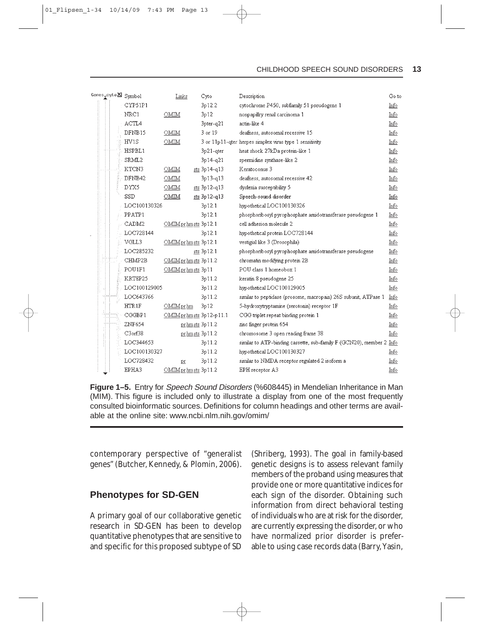| Genes-cyto & Symbol |               | Links                     | Cyto           | Description                                                          | Go to      |
|---------------------|---------------|---------------------------|----------------|----------------------------------------------------------------------|------------|
|                     | CYP51P1       |                           | 3p12.2         | cytochrome P450, subfamily 51 pseudogene 1                           | Info       |
|                     | NRC1          | OMIM                      | 3p12           | nonpapiliry renal carcinoma 1                                        | Info       |
|                     | ACTL4         |                           | $3pter-q21$    | actin-like 4                                                         | Info       |
|                     | DFNB15        | OMIM                      | 3 or 19        | deafness, autosomal recessive 15                                     | Info       |
|                     | HV1S          | OMIM                      |                | 3 or 11p11-qter herpes simplex virus type 1 sensitivity              | $Inf\circ$ |
|                     | HSPBL1        |                           | $3p21$ -qter   | heat shock 27kDa protein-like 1                                      | $Inf\circ$ |
|                     | SRML2         |                           | $3p14-q21$     | spermidine synthase-like 2                                           | $Inf\circ$ |
|                     | KTCN3         | OMIM                      | sts 3p14-q13   | Keratoconus 3                                                        | Info       |
|                     | DFNB42        | OMIM                      | $3p13-q13$     | deafness, autosomal recessive 42                                     | Info       |
|                     | DYX5          | OMIM                      | sts 3p12-q13   | dyslexia susceptibility 5                                            | Info       |
|                     | SSD           | OMIM                      | sts $3p12-q13$ | Speech-sound disorder                                                | Info       |
|                     | LOC100130326  |                           | 3p12.1         | hypothetical LOC100130326                                            | Info       |
|                     | PPATP1        |                           | 3p12.1         | phosphoribosyl pyrophosphate amidotransferase pseudogene 1           | Info       |
|                     | CADM2         | OMIM pr hm sts 3p12.1     |                | cell adhesion molecule 2                                             | Info       |
|                     | LOC728144     |                           | 3p12.1         | hypothetical protein LOC728144                                       | Info       |
|                     | VGLL3         | OMIM prhm sts 3p12.1      |                | vestigial like 3 (Drosophila)                                        | Info       |
|                     | LOC285232     |                           | sts 3p12.1     | phosphoribosyl pyrophosphate amidotransferase pseudogene             | Info       |
|                     | CHMP2B        | OMIM prhm sts 3p11.2      |                | chromatin modifying protein 2B                                       | Info       |
|                     | POU1F1        | OMIM prhm sts 3p11        |                | POU class 1 homeobox 1                                               | $Inf\circ$ |
|                     | KRT8P25       |                           | 3p11.2         | keratin 8 pseudogene 25                                              | Info       |
|                     | LOC100129005  |                           | 3p11.2         | hypothetical LOC100129005                                            | Info       |
|                     | LOC643766     |                           | 3p11.2         | similar to peptidase (prosome, macropain) 26S subunit, ATPase 1      | Info       |
|                     | HTR1F         | OMIMprhm                  | 3p12           | 5-hydroxytryptamine (serotonin) receptor 1F                          | Info       |
|                     | CGGBP1        | OMIM pr hm sts 3p12-p11.1 |                | CGG triplet repeat binding protein 1                                 | Info       |
|                     | ZNF654        |                           | prhmsts 3p11.2 | zinc finger protein 654                                              | Info       |
|                     | $C3$ orf $38$ |                           | prhmsts 3p11.2 | chromosome 3 open reading frame 38                                   | Info       |
|                     | LOC344653     |                           | 3p11.2         | similar to ATP-binding cassette, sub-family F (GCN20), member 2 Info |            |
|                     | LOC100130327  |                           | 3p11.2         | hypothetical LOC100130327                                            | Info       |
|                     | LOC728432     | pr                        | 3p11.2         | similar to NMDA receptor regulated 2 isoform a                       | Info       |
|                     | EPHA3         | OMIM prhm sts 3p11.2      |                | EPH receptor A3                                                      | Info       |

**Figure 1–5.** Entry for Speech Sound Disorders (%608445) in Mendelian Inheritance in Man (MIM). This figure is included only to illustrate a display from one of the most frequently consulted bioinformatic sources. Definitions for column headings and other terms are available at the online site: www.ncbi.nlm.nih.gov/omim/

contemporary perspective of "generalist genes" (Butcher, Kennedy, & Plomin, 2006).

## **Phenotypes for SD-GEN**

A primary goal of our collaborative genetic research in SD-GEN has been to develop quantitative phenotypes that are sensitive to and specific for this proposed subtype of SD

(Shriberg, 1993). The goal in family-based genetic designs is to assess relevant family members of the proband using measures that provide one or more quantitative indices for each sign of the disorder. Obtaining such information from direct behavioral testing of individuals who are at risk for the disorder, are currently expressing the disorder, or who have normalized prior disorder is preferable to using case records data (Barry,Yasin,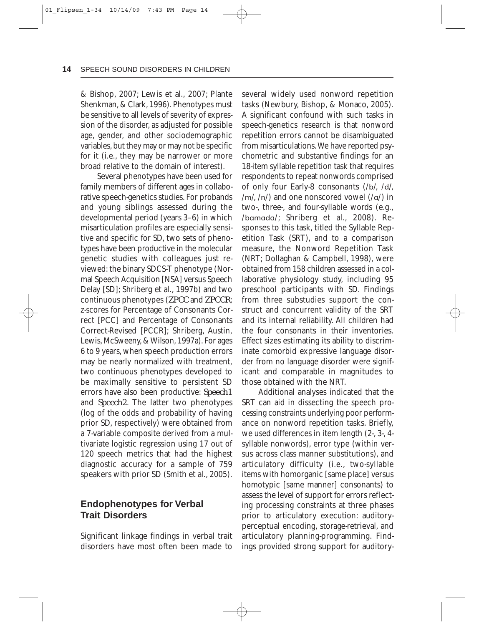& Bishop, 2007; Lewis et al., 2007; Plante Shenkman, & Clark, 1996). Phenotypes must be sensitive to all levels of severity of expression of the disorder, as adjusted for possible age, gender, and other sociodemographic variables, but they may or may not be specific for it (i.e., they may be narrower or more broad relative to the domain of interest).

Several phenotypes have been used for family members of different ages in collaborative speech-genetics studies. For probands and young siblings assessed during the developmental period (years 3–6) in which misarticulation profiles are especially sensitive and specific for SD, two sets of phenotypes have been productive in the molecular genetic studies with colleagues just reviewed: the binary SDCS-T phenotype (Normal Speech Acquisition [NSA] versus Speech Delay [SD]; Shriberg et al., 1997b) and two continuous phenotypes (*ZPCC* and *ZPCCR*; z-scores for Percentage of Consonants Correct [PCC] and Percentage of Consonants Correct-Revised [PCCR]; Shriberg, Austin, Lewis, McSweeny, & Wilson, 1997a). For ages 6 to 9 years, when speech production errors may be nearly normalized with treatment, two continuous phenotypes developed to be maximally sensitive to persistent SD errors have also been productive: *Speech1* and *Speech2*. The latter two phenotypes (log of the odds and probability of having prior SD, respectively) were obtained from a 7-variable composite derived from a multivariate logistic regression using 17 out of 120 speech metrics that had the highest diagnostic accuracy for a sample of 759 speakers with prior SD (Smith et al., 2005).

## **Endophenotypes for Verbal Trait Disorders**

Significant linkage findings in verbal trait disorders have most often been made to

several widely used nonword repetition tasks (Newbury, Bishop, & Monaco, 2005). A significant confound with such tasks in speech-genetics research is that nonword repetition errors cannot be disambiguated from misarticulations.We have reported psychometric and substantive findings for an 18-item syllable repetition task that requires respondents to repeat nonwords comprised of only four Early-8 consonants (/b/, /d/, /m/,  $/n$ ) and one nonscored vowel ( $/\alpha$ ) in two-, three-, and four-syllable words (e.g., /bɑmɑdɑ/; Shriberg et al., 2008). Responses to this task, titled the Syllable Repetition Task (SRT), and to a comparison measure, the Nonword Repetition Task (NRT; Dollaghan & Campbell, 1998), were obtained from 158 children assessed in a collaborative physiology study, including 95 preschool participants with SD. Findings from three substudies support the construct and concurrent validity of the SRT and its internal reliability. All children had the four consonants in their inventories. Effect sizes estimating its ability to discriminate comorbid expressive language disorder from no language disorder were significant and comparable in magnitudes to those obtained with the NRT.

Additional analyses indicated that the SRT can aid in dissecting the speech processing constraints underlying poor performance on nonword repetition tasks. Briefly, we used differences in item length (2-, 3-, 4 syllable nonwords), error type (within versus across class manner substitutions), and articulatory difficulty (i.e., two-syllable items with homorganic [same place] versus homotypic [same manner] consonants) to assess the level of support for errors reflecting processing constraints at three phases prior to articulatory execution: auditoryperceptual encoding, storage-retrieval, and articulatory planning-programming. Findings provided strong support for auditory-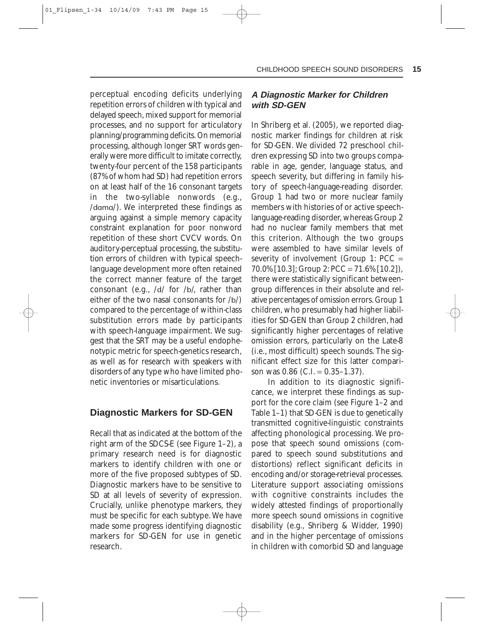perceptual encoding deficits underlying repetition errors of children with typical and delayed speech, mixed support for memorial processes, and no support for articulatory planning/programming deficits.On memorial processing, although longer SRT words generally were more difficult to imitate correctly, twenty-four percent of the 158 participants (87% of whom had SD) had repetition errors on at least half of the 16 consonant targets in the two-syllable nonwords (e.g., /dɑmɑ/). We interpreted these findings as arguing against a simple memory capacity constraint explanation for poor nonword repetition of these short CVCV words. On auditory-perceptual processing, the substitution errors of children with typical speechlanguage development more often retained the correct manner feature of the target consonant (e.g., /d/ for /b/, rather than either of the two nasal consonants for /b/) compared to the percentage of within-class substitution errors made by participants with speech-language impairment. We suggest that the SRT may be a useful endophenotypic metric for speech-genetics research, as well as for research with speakers with disorders of any type who have limited phonetic inventories or misarticulations.

## **Diagnostic Markers for SD-GEN**

Recall that as indicated at the bottom of the right arm of the SDCS-E (see Figure 1–2), a primary research need is for diagnostic markers to identify children with one or more of the five proposed subtypes of SD. Diagnostic markers have to be sensitive to SD at all levels of severity of expression. Crucially, unlike phenotype markers, they must be specific for each subtype. We have made some progress identifying diagnostic markers for SD-GEN for use in genetic research.

#### **A Diagnostic Marker for Children with SD-GEN**

In Shriberg et al. (2005), we reported diagnostic marker findings for children at risk for SD-GEN. We divided 72 preschool children expressing SD into two groups comparable in age, gender, language status, and speech severity, but differing in family history of speech-language-reading disorder. Group 1 had two or more nuclear family members with histories of or active speechlanguage-reading disorder, whereas Group 2 had no nuclear family members that met this criterion. Although the two groups were assembled to have similar levels of severity of involvement (Group 1: PCC = 70.0% [10.3]; Group 2:  $PCC = 71.6\%$  [10.2]), there were statistically significant betweengroup differences in their absolute and relative percentages of omission errors. Group 1 children, who presumably had higher liabilities for SD-GEN than Group 2 children, had significantly higher percentages of relative omission errors, particularly on the Late-8 (i.e., most difficult) speech sounds. The significant effect size for this latter comparison was  $0.86$  (C.I. =  $0.35-1.37$ ).

In addition to its diagnostic significance, we interpret these findings as support for the core claim (see Figure 1–2 and Table 1–1) that SD-GEN is due to genetically transmitted cognitive-linguistic constraints affecting phonological processing. We propose that speech sound omissions (compared to speech sound substitutions and distortions) reflect significant deficits in encoding and/or storage-retrieval processes. Literature support associating omissions with cognitive constraints includes the widely attested findings of proportionally more speech sound omissions in cognitive disability (e.g., Shriberg & Widder, 1990) and in the higher percentage of omissions in children with comorbid SD and language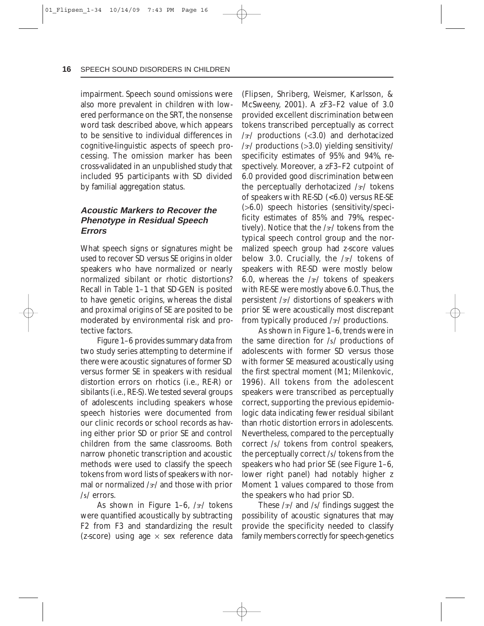impairment. Speech sound omissions were also more prevalent in children with lowered performance on the SRT, the nonsense word task described above, which appears to be sensitive to individual differences in cognitive-linguistic aspects of speech processing. The omission marker has been cross-validated in an unpublished study that included 95 participants with SD divided by familial aggregation status.

#### **Acoustic Markers to Recover the Phenotype in Residual Speech Errors**

What speech signs or signatures might be used to recover SD versus SE origins in older speakers who have normalized or nearly normalized sibilant or rhotic distortions? Recall in Table 1–1 that SD-GEN is posited to have genetic origins, whereas the distal and proximal origins of SE are posited to be moderated by environmental risk and protective factors.

Figure 1–6 provides summary data from two study series attempting to determine if there were acoustic signatures of former SD versus former SE in speakers with residual distortion errors on rhotics (i.e., RE-R) or sibilants (i.e., RE-S).We tested several groups of adolescents including speakers whose speech histories were documented from our clinic records or school records as having either prior SD or prior SE and control children from the same classrooms. Both narrow phonetic transcription and acoustic methods were used to classify the speech tokens from word lists of speakers with normal or normalized /3·/ and those with prior /s/ errors.

As shown in Figure 1–6, / $3\sqrt{2}$  tokens were quantified acoustically by subtracting F2 from F3 and standardizing the result (z-score) using age  $\times$  sex reference data (Flipsen, Shriberg, Weismer, Karlsson, & McSweeny, 2001). A *z*F3–F2 value of 3.0 provided excellent discrimination between tokens transcribed perceptually as correct /3·/ productions (<3.0) and derhotacized /3·/ productions (>3.0) yielding sensitivity/ specificity estimates of 95% and 94%, respectively. Moreover, a *z*F3–F2 cutpoint of 6.0 provided good discrimination between the perceptually derhotacized  $/3$  tokens of speakers with RE-SD (<6.0) versus RE-SE (>6.0) speech histories (sensitivity/specificity estimates of 85% and 79%, respectively). Notice that the /ɜ·/ tokens from the typical speech control group and the normalized speech group had z-score values below 3.0. Crucially, the /3·/ tokens of speakers with RE-SD were mostly below 6.0, whereas the  $/3$  tokens of speakers with RE-SE were mostly above 6.0.Thus, the persistent / $\sigma$ / distortions of speakers with prior SE were acoustically most discrepant from typically produced / $\mathbb{F}/\mathbb{F}$  productions.

As shown in Figure 1–6, trends were in the same direction for /s/ productions of adolescents with former SD versus those with former SE measured acoustically using the first spectral moment (M1; Milenkovic, 1996). All tokens from the adolescent speakers were transcribed as perceptually correct, supporting the previous epidemiologic data indicating fewer residual sibilant than rhotic distortion errors in adolescents. Nevertheless, compared to the perceptually correct /s/ tokens from control speakers, the perceptually correct /s/ tokens from the speakers who had prior SE (see Figure 1–6, lower right panel) had notably higher z Moment 1 values compared to those from the speakers who had prior SD.

These  $/3$  and  $/5/$  findings suggest the possibility of acoustic signatures that may provide the specificity needed to classify family members correctly for speech-genetics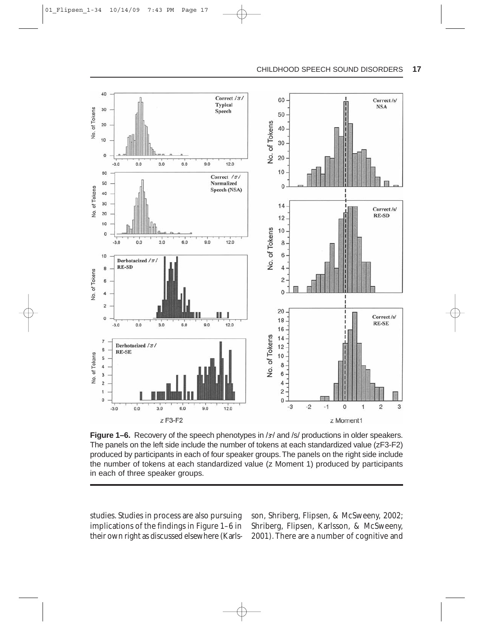

Figure 1–6. Recovery of the speech phenotypes in /3<sup>-</sup>/ and /s/ productions in older speakers. The panels on the left side include the number of tokens at each standardized value (zF3-F2) produced by participants in each of four speaker groups.The panels on the right side include the number of tokens at each standardized value (z Moment 1) produced by participants in each of three speaker groups.

studies. Studies in process are also pursuing implications of the findings in Figure 1–6 in their own right as discussed elsewhere (Karlsson, Shriberg, Flipsen, & McSweeny, 2002; Shriberg, Flipsen, Karlsson, & McSweeny, 2001). There are a number of cognitive and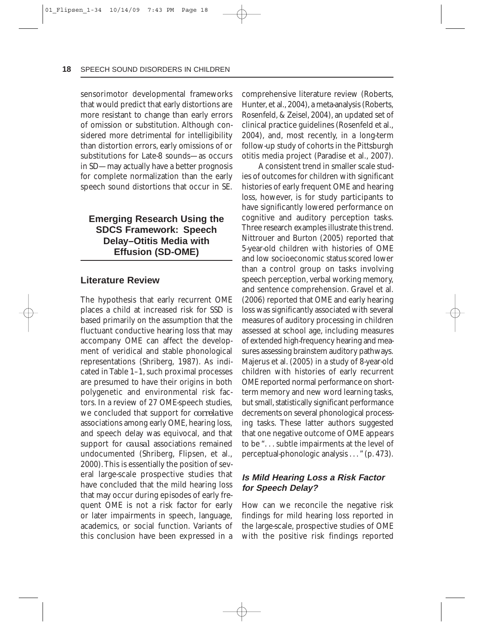sensorimotor developmental frameworks that would predict that early distortions are more resistant to change than early errors of omission or substitution. Although considered more detrimental for intelligibility than distortion errors, early omissions of or substitutions for Late-8 sounds—as occurs in SD—may actually have a better prognosis for complete normalization than the early speech sound distortions that occur in SE.

## **Emerging Research Using the SDCS Framework: Speech Delay–Otitis Media with Effusion (SD-OME)**

#### **Literature Review**

The hypothesis that early recurrent OME places a child at increased risk for SSD is based primarily on the assumption that the fluctuant conductive hearing loss that may accompany OME can affect the development of veridical and stable phonological representations (Shriberg, 1987). As indicated in Table 1–1, such proximal processes are presumed to have their origins in both polygenetic and environmental risk factors. In a review of 27 OME-speech studies, we concluded that support for *correlative* associations among early OME, hearing loss, and speech delay was equivocal, and that support for *causal* associations remained undocumented (Shriberg, Flipsen, et al., 2000).This is essentially the position of several large-scale prospective studies that have concluded that the mild hearing loss that may occur during episodes of early frequent OME is not a risk factor for early or later impairments in speech, language, academics, or social function. Variants of this conclusion have been expressed in a

comprehensive literature review (Roberts, Hunter, et al., 2004), a meta-analysis (Roberts, Rosenfeld, & Zeisel, 2004), an updated set of clinical practice guidelines (Rosenfeld et al., 2004), and, most recently, in a long-term follow-up study of cohorts in the Pittsburgh otitis media project (Paradise et al., 2007).

A consistent trend in smaller scale studies of outcomes for children with significant histories of early frequent OME and hearing loss, however, is for study participants to have significantly lowered performance on cognitive and auditory perception tasks. Three research examples illustrate this trend. Nittrouer and Burton (2005) reported that 5-year-old children with histories of OME and low socioeconomic status scored lower than a control group on tasks involving speech perception, verbal working memory, and sentence comprehension. Gravel et al. (2006) reported that OME and early hearing loss was significantly associated with several measures of auditory processing in children assessed at school age, including measures of extended high-frequency hearing and measures assessing brainstem auditory pathways. Majerus et al. (2005) in a study of 8-year-old children with histories of early recurrent OME reported normal performance on shortterm memory and new word learning tasks, but small, statistically significant performance decrements on several phonological processing tasks. These latter authors suggested that one negative outcome of OME appears to be ". . . subtle impairments at the level of perceptual-phonologic analysis . . . " (p. 473).

#### **Is Mild Hearing Loss a Risk Factor for Speech Delay?**

How can we reconcile the negative risk findings for mild hearing loss reported in the large-scale, prospective studies of OME with the positive risk findings reported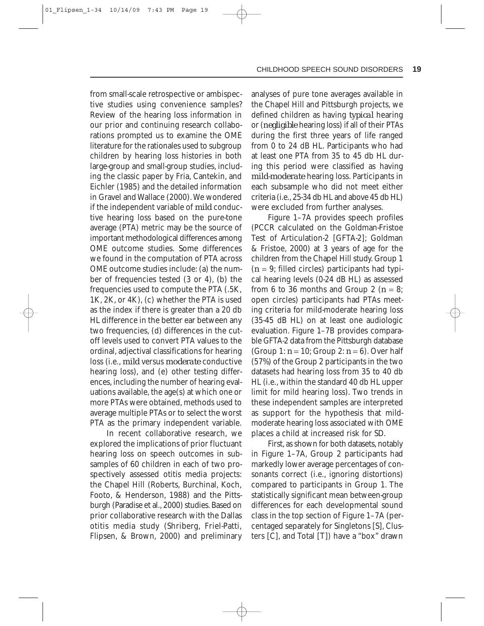from small-scale retrospective or ambispective studies using convenience samples? Review of the hearing loss information in our prior and continuing research collaborations prompted us to examine the OME literature for the rationales used to subgroup children by hearing loss histories in both large-group and small-group studies, including the classic paper by Fria, Cantekin, and Eichler (1985) and the detailed information in Gravel and Wallace (2000).We wondered if the independent variable of *mild* conductive hearing loss based on the pure-tone average (PTA) metric may be the source of important methodological differences among OME outcome studies. Some differences we found in the computation of PTA across OME outcome studies include: (a) the number of frequencies tested (3 or 4), (b) the frequencies used to compute the PTA (.5K, 1K, 2K, or 4K), (c) whether the PTA is used as the index if there is greater than a 20 db HL difference in the better ear between any two frequencies, (d) differences in the cutoff levels used to convert PTA values to the ordinal, adjectival classifications for hearing loss (i.e., *mild* versus *moderate* conductive hearing loss), and (e) other testing differences, including the number of hearing evaluations available, the age(s) at which one or more PTAs were obtained, methods used to average multiple PTAs or to select the worst PTA as the primary independent variable.

In recent collaborative research, we explored the implications of prior fluctuant hearing loss on speech outcomes in subsamples of 60 children in each of two prospectively assessed otitis media projects: the Chapel Hill (Roberts, Burchinal, Koch, Footo, & Henderson, 1988) and the Pittsburgh (Paradise et al., 2000) studies. Based on prior collaborative research with the Dallas otitis media study (Shriberg, Friel-Patti, Flipsen, & Brown, 2000) and preliminary analyses of pure tone averages available in the Chapel Hill and Pittsburgh projects, we defined children as having *typical* hearing or (*negligible* hearing loss) if all of their PTAs during the first three years of life ranged from 0 to 24 dB HL. Participants who had at least one PTA from 35 to 45 db HL during this period were classified as having *mild-moderate* hearing loss. Participants in each subsample who did not meet either criteria (i.e.,25-34 db HL and above 45 db HL) were excluded from further analyses.

Figure 1–7A provides speech profiles (PCCR calculated on the Goldman-Fristoe Test of Articulation-2 [GFTA-2]; Goldman & Fristoe, 2000) at 3 years of age for the children from the Chapel Hill study. Group 1  $(n = 9;$  filled circles) participants had typical hearing levels (0-24 dB HL) as assessed from 6 to 36 months and Group 2 ( $n = 8$ ; open circles) participants had PTAs meeting criteria for mild-moderate hearing loss (35-45 dB HL) on at least one audiologic evaluation. Figure 1–7B provides comparable GFTA-2 data from the Pittsburgh database (Group 1: *n* = 10; Group 2: *n* = 6). Over half (57%) of the Group 2 participants in the two datasets had hearing loss from 35 to 40 db HL (i.e., within the standard 40 db HL upper limit for mild hearing loss). Two trends in these independent samples are interpreted as support for the hypothesis that mildmoderate hearing loss associated with OME places a child at increased risk for SD.

First, as shown for both datasets, notably in Figure 1–7A, Group 2 participants had markedly lower average percentages of consonants correct (i.e., ignoring distortions) compared to participants in Group 1. The statistically significant mean between-group differences for each developmental sound class in the top section of Figure 1–7A (percentaged separately for Singletons [S], Clusters [C], and Total [T]) have a "box" drawn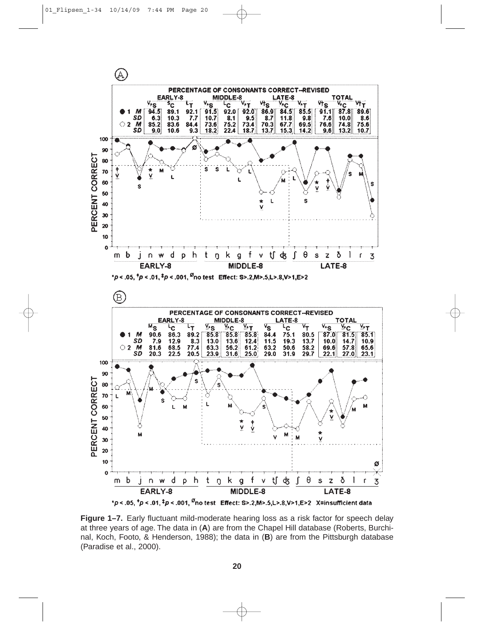

**Figure 1–7.** Early fluctuant mild-moderate hearing loss as a risk factor for speech delay at three years of age. The data in (**A**) are from the Chapel Hill database (Roberts, Burchinal, Koch, Footo, & Henderson, 1988); the data in (**B**) are from the Pittsburgh database (Paradise et al., 2000).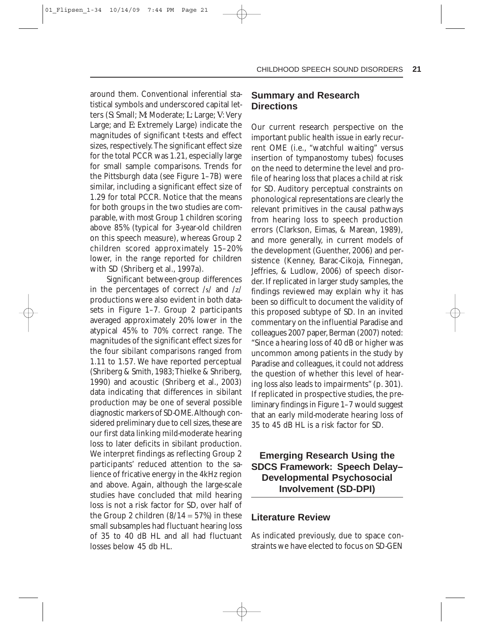around them. Conventional inferential statistical symbols and underscored capital letters (*S*: Small; *M*: Moderate; *L*: Large; *V*: Very Large; and *E*: Extremely Large) indicate the magnitudes of significant t-tests and effect sizes, respectively.The significant effect size for the total PCCR was 1.21, especially large for small sample comparisons. Trends for the Pittsburgh data (see Figure 1–7B) were similar, including a significant effect size of 1.29 for total PCCR. Notice that the means for both groups in the two studies are comparable, with most Group 1 children scoring above 85% (typical for 3-year-old children on this speech measure), whereas Group 2 children scored approximately 15–20% lower, in the range reported for children with SD (Shriberg et al., 1997a).

Significant between-group differences in the percentages of correct /s/ and /z/ productions were also evident in both datasets in Figure 1–7. Group 2 participants averaged approximately 20% lower in the atypical 45% to 70% correct range. The magnitudes of the significant effect sizes for the four sibilant comparisons ranged from 1.11 to 1.57. We have reported perceptual (Shriberg & Smith, 1983;Thielke & Shriberg, 1990) and acoustic (Shriberg et al., 2003) data indicating that differences in sibilant production may be one of several possible diagnostic markers of SD-OME.Although considered preliminary due to cell sizes, these are our first data linking mild-moderate hearing loss to later deficits in sibilant production. We interpret findings as reflecting Group 2 participants' reduced attention to the salience of fricative energy in the 4kHz region and above. Again, although the large-scale studies have concluded that mild hearing loss is not a risk factor for SD, over half of the Group 2 children  $(8/14 = 57%)$  in these small subsamples had fluctuant hearing loss of 35 to 40 dB HL and all had fluctuant losses below 45 db HL.

## **Summary and Research Directions**

Our current research perspective on the important public health issue in early recurrent OME (i.e., "watchful waiting" versus insertion of tympanostomy tubes) focuses on the need to determine the level and profile of hearing loss that places a child at risk for SD. Auditory perceptual constraints on phonological representations are clearly the relevant primitives in the causal pathways from hearing loss to speech production errors (Clarkson, Eimas, & Marean, 1989), and more generally, in current models of the development (Guenther, 2006) and persistence (Kenney, Barac-Cikoja, Finnegan, Jeffries, & Ludlow, 2006) of speech disorder. If replicated in larger study samples, the findings reviewed may explain why it has been so difficult to document the validity of this proposed subtype of SD. In an invited commentary on the influential Paradise and colleagues 2007 paper, Berman (2007) noted: "Since a hearing loss of 40 dB or higher was uncommon among patients in the study by Paradise and colleagues, it could not address the question of whether this level of hearing loss also leads to impairments" (p. 301). If replicated in prospective studies, the preliminary findings in Figure 1–7 would suggest that an early mild-moderate hearing loss of 35 to 45 dB HL is a risk factor for SD.

**Emerging Research Using the SDCS Framework: Speech Delay– Developmental Psychosocial Involvement (SD-DPI)**

#### **Literature Review**

As indicated previously, due to space constraints we have elected to focus on SD-GEN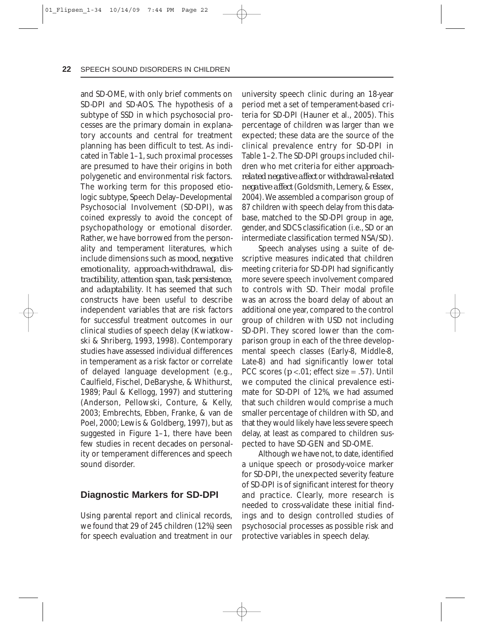and SD-OME, with only brief comments on SD-DPI and SD-AOS. The hypothesis of a subtype of SSD in which psychosocial processes are the primary domain in explanatory accounts and central for treatment planning has been difficult to test. As indicated in Table 1–1, such proximal processes are presumed to have their origins in both polygenetic and environmental risk factors. The working term for this proposed etiologic subtype, Speech Delay–Developmental Psychosocial Involvement (SD-DPI), was coined expressly to avoid the concept of psychopathology or emotional disorder. Rather, we have borrowed from the personality and temperament literatures, which include dimensions such as *mood*, *negative emotionality*, *approach-withdrawal*, *distractibility*,*attention span*,*task persistence*, and *adaptability*. It has seemed that such constructs have been useful to describe independent variables that are risk factors for successful treatment outcomes in our clinical studies of speech delay (Kwiatkowski & Shriberg, 1993, 1998). Contemporary studies have assessed individual differences in temperament as a risk factor or correlate of delayed language development (e.g., Caulfield, Fischel, DeBaryshe, & Whithurst, 1989; Paul & Kellogg, 1997) and stuttering (Anderson, Pellowski, Conture, & Kelly, 2003; Embrechts, Ebben, Franke, & van de Poel, 2000; Lewis & Goldberg, 1997), but as suggested in Figure 1–1, there have been few studies in recent decades on personality or temperament differences and speech sound disorder.

#### **Diagnostic Markers for SD-DPI**

Using parental report and clinical records, we found that 29 of 245 children (12%) seen for speech evaluation and treatment in our university speech clinic during an 18-year period met a set of temperament-based criteria for SD-DPI (Hauner et al., 2005). This percentage of children was larger than we expected; these data are the source of the clinical prevalence entry for SD-DPI in Table 1–2.The SD-DPI groups included children who met criteria for either *approachrelated negative affect* or *withdrawal-related negative affect* (Goldsmith, Lemery, & Essex, 2004).We assembled a comparison group of 87 children with speech delay from this database, matched to the SD-DPI group in age, gender, and SDCS classification (i.e., SD or an intermediate classification termed NSA/SD).

Speech analyses using a suite of descriptive measures indicated that children meeting criteria for SD-DPI had significantly more severe speech involvement compared to controls with SD. Their modal profile was an across the board delay of about an additional one year, compared to the control group of children with USD not including SD-DPI. They scored lower than the comparison group in each of the three developmental speech classes (Early-8, Middle-8, Late-8) and had significantly lower total PCC scores  $(p < 0.01$ ; effect size = .57). Until we computed the clinical prevalence estimate for SD-DPI of 12%, we had assumed that such children would comprise a much smaller percentage of children with SD, and that they would likely have less severe speech delay, at least as compared to children suspected to have SD-GEN and SD-OME.

Although we have not, to date, identified a unique speech or prosody-voice marker for SD-DPI, the unexpected severity feature of SD-DPI is of significant interest for theory and practice. Clearly, more research is needed to cross-validate these initial findings and to design controlled studies of psychosocial processes as possible risk and protective variables in speech delay.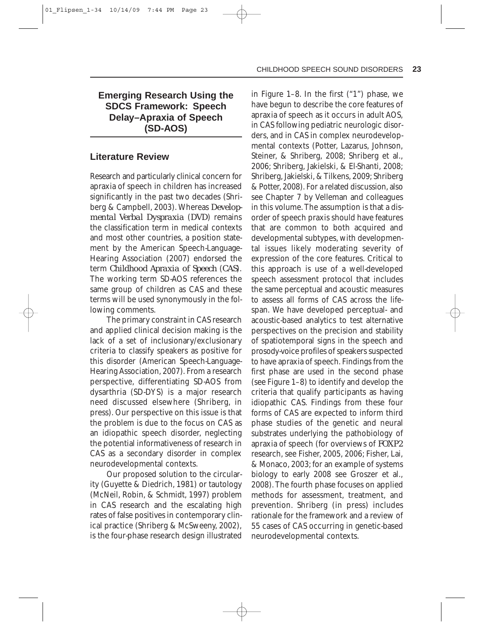## **Emerging Research Using the SDCS Framework: Speech Delay–Apraxia of Speech (SD-AOS)**

#### **Literature Review**

Research and particularly clinical concern for apraxia of speech in children has increased significantly in the past two decades (Shriberg & Campbell, 2003). Whereas *Developmental Verbal Dyspraxia* (*DVD*) remains the classification term in medical contexts and most other countries, a position statement by the American Speech-Language-Hearing Association (2007) endorsed the term *Childhood Apraxia of Speech* (*CAS*). The working term SD-AOS references the same group of children as CAS and these terms will be used synonymously in the following comments.

The primary constraint in CAS research and applied clinical decision making is the lack of a set of inclusionary/exclusionary criteria to classify speakers as positive for this disorder (American Speech-Language-Hearing Association, 2007). From a research perspective, differentiating SD-AOS from dysarthria (SD-DYS) is a major research need discussed elsewhere (Shriberg, in press). Our perspective on this issue is that the problem is due to the focus on CAS as an idiopathic speech disorder, neglecting the potential informativeness of research in CAS as a secondary disorder in complex neurodevelopmental contexts.

Our proposed solution to the circularity (Guyette & Diedrich, 1981) or tautology (McNeil, Robin, & Schmidt, 1997) problem in CAS research and the escalating high rates of false positives in contemporary clinical practice (Shriberg & McSweeny, 2002), is the four-phase research design illustrated in Figure 1–8. In the first ("1") phase, we have begun to describe the core features of apraxia of speech as it occurs in adult AOS, in CAS following pediatric neurologic disorders, and in CAS in complex neurodevelopmental contexts (Potter, Lazarus, Johnson, Steiner, & Shriberg, 2008; Shriberg et al., 2006; Shriberg, Jakielski, & El-Shanti, 2008; Shriberg, Jakielski, & Tilkens, 2009; Shriberg & Potter, 2008). For a related discussion, also see Chapter 7 by Velleman and colleagues in this volume. The assumption is that a disorder of speech praxis should have features that are common to both acquired and developmental subtypes, with developmental issues likely moderating severity of expression of the core features. Critical to this approach is use of a well-developed speech assessment protocol that includes the same perceptual and acoustic measures to assess all forms of CAS across the lifespan. We have developed perceptual- and acoustic-based analytics to test alternative perspectives on the precision and stability of spatiotemporal signs in the speech and prosody-voice profiles of speakers suspected to have apraxia of speech. Findings from the first phase are used in the second phase (see Figure 1–8) to identify and develop the criteria that qualify participants as having idiopathic CAS. Findings from these four forms of CAS are expected to inform third phase studies of the genetic and neural substrates underlying the pathobiology of apraxia of speech (for overviews of *FOXP2* research, see Fisher, 2005, 2006; Fisher, Lai, & Monaco, 2003; for an example of systems biology to early 2008 see Groszer et al., 2008). The fourth phase focuses on applied methods for assessment, treatment, and prevention. Shriberg (in press) includes rationale for the framework and a review of 55 cases of CAS occurring in genetic-based neurodevelopmental contexts.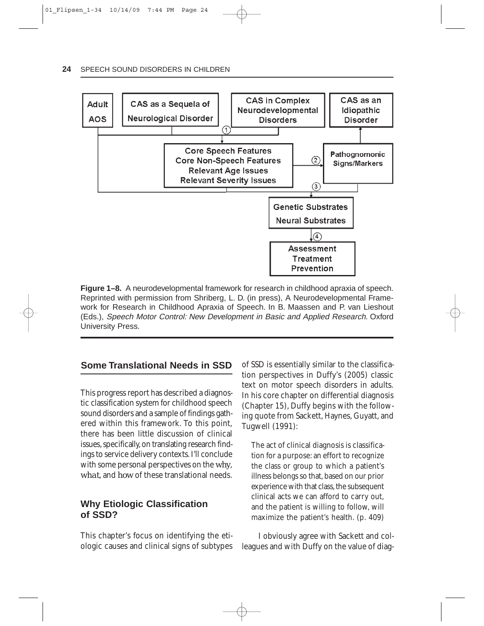

**Figure 1–8.** A neurodevelopmental framework for research in childhood apraxia of speech. Reprinted with permission from Shriberg, L. D. (in press), A Neurodevelopmental Framework for Research in Childhood Apraxia of Speech. In B. Maassen and P. van Lieshout (Eds.), Speech Motor Control: New Development in Basic and Applied Research. Oxford University Press.

## **Some Translational Needs in SSD**

This progress report has described a diagnostic classification system for childhood speech sound disorders and a sample of findings gathered within this framework. To this point, there has been little discussion of clinical issues, specifically, on translating research findings to service delivery contexts. I'll conclude with some personal perspectives on the *why*, *what*, and *how* of these translational needs.

## **Why Etiologic Classification of SSD?**

This chapter's focus on identifying the etiologic causes and clinical signs of subtypes of SSD is essentially similar to the classification perspectives in Duffy's (2005) classic text on motor speech disorders in adults. In his core chapter on differential diagnosis (Chapter 15), Duffy begins with the following quote from Sackett, Haynes, Guyatt, and Tugwell (1991):

The act of clinical diagnosis is classification for a purpose: an effort to recognize the class or group to which a patient's illness belongs so that, based on our prior experience with that class, the subsequent clinical acts we can afford to carry out, and the patient is willing to follow, will maximize the patient's health. (p. 409)

I obviously agree with Sackett and colleagues and with Duffy on the value of diag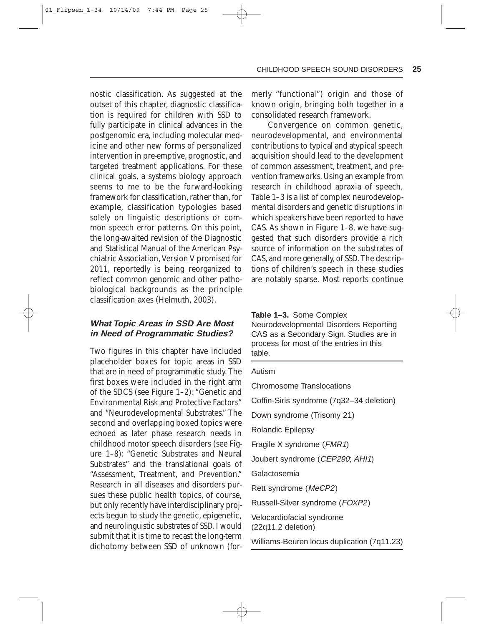nostic classification. As suggested at the outset of this chapter, diagnostic classification is required for children with SSD to fully participate in clinical advances in the postgenomic era, including molecular medicine and other new forms of personalized intervention in pre-emptive, prognostic, and targeted treatment applications. For these clinical goals, a systems biology approach seems to me to be the forward-looking framework for classification, rather than, for example, classification typologies based solely on linguistic descriptions or common speech error patterns. On this point, the long-awaited revision of the Diagnostic and Statistical Manual of the American Psychiatric Association, Version V promised for 2011, reportedly is being reorganized to reflect common genomic and other pathobiological backgrounds as the principle classification axes (Helmuth, 2003).

#### **What Topic Areas in SSD Are Most in Need of Programmatic Studies?**

Two figures in this chapter have included placeholder boxes for topic areas in SSD that are in need of programmatic study. The first boxes were included in the right arm of the SDCS (see Figure 1–2): "Genetic and Environmental Risk and Protective Factors" and "Neurodevelopmental Substrates." The second and overlapping boxed topics were echoed as later phase research needs in childhood motor speech disorders (see Figure 1–8): "Genetic Substrates and Neural Substrates" and the translational goals of "Assessment, Treatment, and Prevention." Research in all diseases and disorders pursues these public health topics, of course, but only recently have interdisciplinary projects begun to study the genetic, epigenetic, and neurolinguistic substrates of SSD. I would submit that it is time to recast the long-term dichotomy between SSD of unknown (formerly "functional") origin and those of known origin, bringing both together in a consolidated research framework.

Convergence on common genetic, neurodevelopmental, and environmental contributions to typical and atypical speech acquisition should lead to the development of common assessment, treatment, and prevention frameworks. Using an example from research in childhood apraxia of speech, Table 1–3 is a list of complex neurodevelopmental disorders and genetic disruptions in which speakers have been reported to have CAS. As shown in Figure 1–8, we have suggested that such disorders provide a rich source of information on the substrates of CAS, and more generally, of SSD.The descriptions of children's speech in these studies are notably sparse. Most reports continue

#### **Table 1–3.** Some Complex

Neurodevelopmental Disorders Reporting CAS as a Secondary Sign. Studies are in process for most of the entries in this table.

#### Autism

Chromosome Translocations Coffin-Siris syndrome (7q32–34 deletion) Down syndrome (Trisomy 21) Rolandic Epilepsy Fragile X syndrome (FMR1) Joubert syndrome (CEP290; AHI1) Galactosemia Rett syndrome (MeCP2) Russell-Silver syndrome (FOXP2) Velocardiofacial syndrome (22q11.2 deletion) Williams-Beuren locus duplication (7q11.23)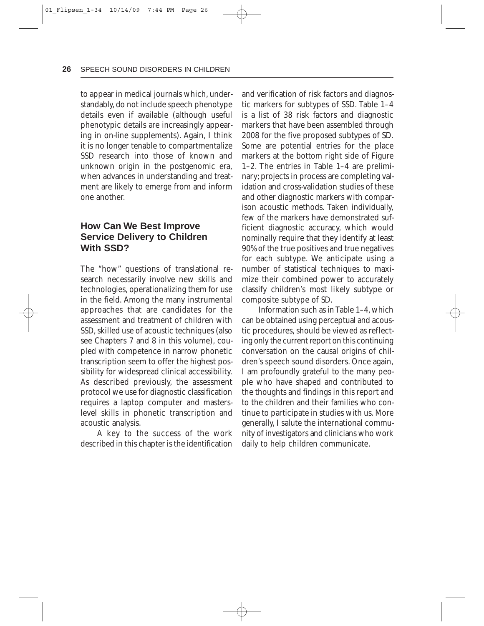to appear in medical journals which, understandably, do not include speech phenotype details even if available (although useful phenotypic details are increasingly appearing in on-line supplements). Again, I think it is no longer tenable to compartmentalize SSD research into those of known and unknown origin in the postgenomic era, when advances in understanding and treatment are likely to emerge from and inform one another.

#### **How Can We Best Improve Service Delivery to Children With SSD?**

The "how" questions of translational research necessarily involve new skills and technologies, operationalizing them for use in the field. Among the many instrumental approaches that are candidates for the assessment and treatment of children with SSD, skilled use of acoustic techniques (also see Chapters 7 and 8 in this volume), coupled with competence in narrow phonetic transcription seem to offer the highest possibility for widespread clinical accessibility. As described previously, the assessment protocol we use for diagnostic classification requires a laptop computer and masterslevel skills in phonetic transcription and acoustic analysis.

A key to the success of the work described in this chapter is the identification and verification of risk factors and diagnostic markers for subtypes of SSD. Table 1–4 is a list of 38 risk factors and diagnostic markers that have been assembled through 2008 for the five proposed subtypes of SD. Some are potential entries for the place markers at the bottom right side of Figure 1–2. The entries in Table 1–4 are preliminary; projects in process are completing validation and cross-validation studies of these and other diagnostic markers with comparison acoustic methods. Taken individually, few of the markers have demonstrated sufficient diagnostic accuracy, which would nominally require that they identify at least 90% of the true positives and true negatives for each subtype. We anticipate using a number of statistical techniques to maximize their combined power to accurately classify children's most likely subtype or composite subtype of SD.

Information such as in Table 1–4, which can be obtained using perceptual and acoustic procedures, should be viewed as reflecting only the current report on this continuing conversation on the causal origins of children's speech sound disorders. Once again, I am profoundly grateful to the many people who have shaped and contributed to the thoughts and findings in this report and to the children and their families who continue to participate in studies with us. More generally, I salute the international community of investigators and clinicians who work daily to help children communicate.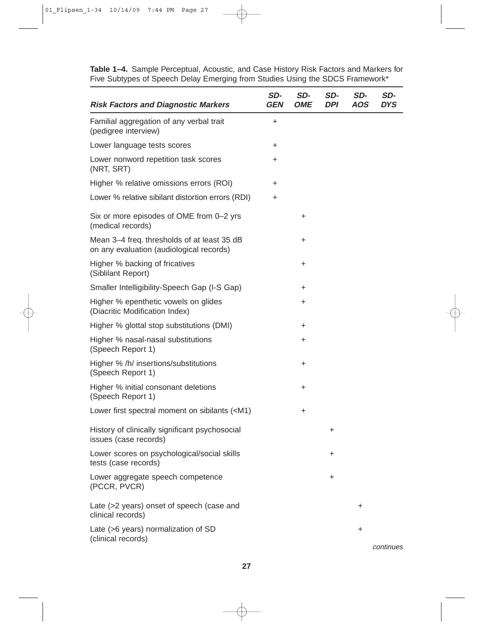| <b>Risk Factors and Diagnostic Markers</b>                                                                   | SD-<br><b>GEN</b> | SD-<br><b>OME</b> | SD-<br><b>DPI</b> | SD-<br><b>AOS</b> | SD-<br><b>DYS</b> |
|--------------------------------------------------------------------------------------------------------------|-------------------|-------------------|-------------------|-------------------|-------------------|
| Familial aggregation of any verbal trait<br>(pedigree interview)                                             | +                 |                   |                   |                   |                   |
| Lower language tests scores                                                                                  | +                 |                   |                   |                   |                   |
| Lower nonword repetition task scores<br>(NRT, SRT)                                                           | +                 |                   |                   |                   |                   |
| Higher % relative omissions errors (ROI)                                                                     | +                 |                   |                   |                   |                   |
| Lower % relative sibilant distortion errors (RDI)                                                            | +                 |                   |                   |                   |                   |
| Six or more episodes of OME from 0-2 yrs<br>(medical records)                                                |                   | +                 |                   |                   |                   |
| Mean 3-4 freq. thresholds of at least 35 dB<br>on any evaluation (audiological records)                      |                   | +                 |                   |                   |                   |
| Higher % backing of fricatives<br>(Siblilant Report)                                                         |                   | +                 |                   |                   |                   |
| Smaller Intelligibility-Speech Gap (I-S Gap)                                                                 |                   | +                 |                   |                   |                   |
| Higher % epenthetic vowels on glides<br>(Diacritic Modification Index)                                       |                   | +                 |                   |                   |                   |
| Higher % glottal stop substitutions (DMI)                                                                    |                   | +                 |                   |                   |                   |
| Higher % nasal-nasal substitutions<br>(Speech Report 1)                                                      |                   | +                 |                   |                   |                   |
| Higher % /h/ insertions/substitutions<br>(Speech Report 1)                                                   |                   | +                 |                   |                   |                   |
| Higher % initial consonant deletions<br>(Speech Report 1)                                                    |                   | +                 |                   |                   |                   |
| Lower first spectral moment on sibilants ( <m1)< td=""><td></td><td>+</td><td></td><td></td><td></td></m1)<> |                   | +                 |                   |                   |                   |
| History of clinically significant psychosocial<br>issues (case records)                                      |                   |                   | +                 |                   |                   |
| Lower scores on psychological/social skills<br>tests (case records)                                          |                   |                   | +                 |                   |                   |
| Lower aggregate speech competence<br>(PCCR, PVCR)                                                            |                   |                   | +                 |                   |                   |
| Late (>2 years) onset of speech (case and<br>clinical records)                                               |                   |                   |                   | +                 |                   |
| Late (>6 years) normalization of SD<br>(clinical records)                                                    |                   |                   |                   | +                 |                   |
|                                                                                                              |                   |                   |                   |                   | continues         |

**Table 1–4.** Sample Perceptual, Acoustic, and Case History Risk Factors and Markers for Five Subtypes of Speech Delay Emerging from Studies Using the SDCS Framework\*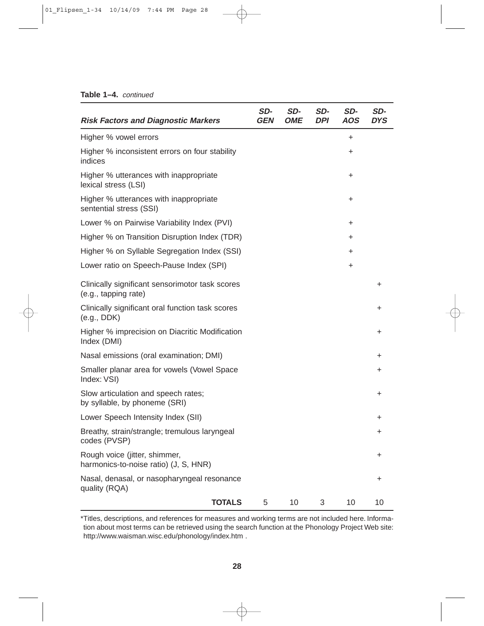#### Table 1–4. continued

| <b>Risk Factors and Diagnostic Markers</b>                              | SD-<br><b>GEN</b> | SD-<br><b>OME</b> | SD-<br><b>DPI</b> | SD-<br><b>AOS</b> | SD-<br><b>DYS</b> |
|-------------------------------------------------------------------------|-------------------|-------------------|-------------------|-------------------|-------------------|
| Higher % vowel errors                                                   |                   |                   |                   | $\ddot{}$         |                   |
| Higher % inconsistent errors on four stability<br>indices               |                   |                   |                   | +                 |                   |
| Higher % utterances with inappropriate<br>lexical stress (LSI)          |                   |                   |                   | +                 |                   |
| Higher % utterances with inappropriate<br>sentential stress (SSI)       |                   |                   |                   | $\ddot{}$         |                   |
| Lower % on Pairwise Variability Index (PVI)                             |                   |                   |                   | +                 |                   |
| Higher % on Transition Disruption Index (TDR)                           |                   |                   |                   | +                 |                   |
| Higher % on Syllable Segregation Index (SSI)                            |                   |                   |                   | +                 |                   |
| Lower ratio on Speech-Pause Index (SPI)                                 |                   |                   |                   | +                 |                   |
| Clinically significant sensorimotor task scores<br>(e.g., tapping rate) |                   |                   |                   |                   | +                 |
| Clinically significant oral function task scores<br>(e.g., DDK)         |                   |                   |                   |                   | +                 |
| Higher % imprecision on Diacritic Modification<br>Index (DMI)           |                   |                   |                   |                   | +                 |
| Nasal emissions (oral examination; DMI)                                 |                   |                   |                   |                   | $\ddot{}$         |
| Smaller planar area for vowels (Vowel Space<br>Index: VSI)              |                   |                   |                   |                   | +                 |
| Slow articulation and speech rates;<br>by syllable, by phoneme (SRI)    |                   |                   |                   |                   | $\ddot{}$         |
| Lower Speech Intensity Index (SII)                                      |                   |                   |                   |                   | +                 |
| Breathy, strain/strangle; tremulous laryngeal<br>codes (PVSP)           |                   |                   |                   |                   | +                 |
| Rough voice (jitter, shimmer,<br>harmonics-to-noise ratio) (J, S, HNR)  |                   |                   |                   |                   | +                 |
| Nasal, denasal, or nasopharyngeal resonance<br>quality (RQA)            |                   |                   |                   |                   | $\ddot{}$         |
| <b>TOTALS</b>                                                           | 5                 | 10                | 3                 | 10                | 10                |

\*Titles, descriptions, and references for measures and working terms are not included here. Information about most terms can be retrieved using the search function at the Phonology Project Web site: http://www.waisman.wisc.edu/phonology/index.htm .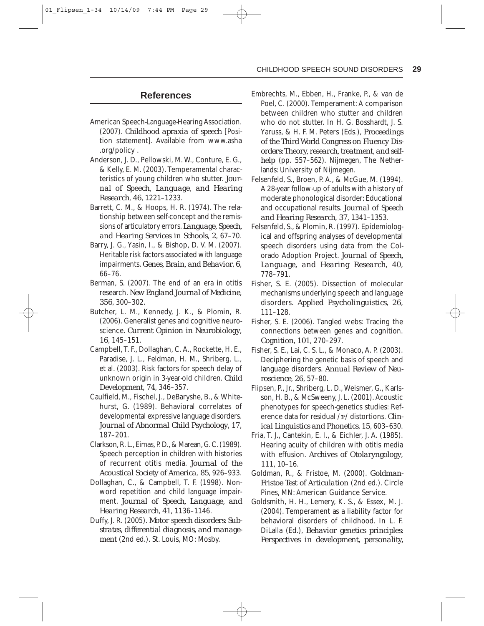## **References**

- American Speech-Language-Hearing Association. (2007). *Childhood apraxia of speech* [Position statement]. Available from www.asha .org/policy .
- Anderson, J. D., Pellowski, M. W., Conture, E. G., & Kelly, E. M. (2003). Temperamental characteristics of young children who stutter. *Journal of Speech, Language, and Hearing Research*, *46*, 1221–1233.
- Barrett, C. M., & Hoops, H. R. (1974). The relationship between self-concept and the remissions of articulatory errors. *Language, Speech, and Hearing Services in Schools*, *2*, 67–70.
- Barry, J. G., Yasin, I., & Bishop, D. V. M. (2007). Heritable risk factors associated with language impairments. *Genes, Brain, and Behavior*, *6*, 66–76.
- Berman, S. (2007). The end of an era in otitis research.*New England Journal of Medicine*, *356*, 300–302.
- Butcher, L. M., Kennedy, J. K., & Plomin, R. (2006). Generalist genes and cognitive neuroscience. *Current Opinion in Neurobiology*, *16*, 145–151.
- Campbell, T. F., Dollaghan, C. A., Rockette, H. E., Paradise, J. L., Feldman, H. M., Shriberg, L., et al. (2003). Risk factors for speech delay of unknown origin in 3-year-old children. *Child Development*, *74*, 346–357.
- Caulfield, M., Fischel, J., DeBaryshe, B., & Whitehurst, G. (1989). Behavioral correlates of developmental expressive language disorders. *Journal of Abnormal Child Psychology*, *17*, 187–201.
- Clarkson, R. L., Eimas, P. D., & Marean, G. C. (1989). Speech perception in children with histories of recurrent otitis media. *Journal of the Acoustical Society of America*, *85*, 926–933.
- Dollaghan, C., & Campbell, T. F. (1998). Nonword repetition and child language impairment. *Journal of Speech, Language, and Hearing Research*, *41*, 1136–1146.
- Duffy, J. R. (2005). *Motor speech disorders: Substrates, differential diagnosis, and management* (2nd ed.). St. Louis, MO: Mosby.
- Embrechts, M., Ebben, H., Franke, P., & van de Poel, C. (2000). Temperament: A comparison between children who stutter and children who do not stutter. In H. G. Bosshardt, J. S. Yaruss, & H. F. M. Peters (Eds.), *Proceedings of the Third World Congress on Fluency Disorders: Theory, research, treatment, and selfhelp* (pp. 557–562). Nijmegen, The Netherlands: University of Nijmegen.
- Felsenfeld, S., Broen, P. A., & McGue, M. (1994). A 28-year follow-up of adults with a history of moderate phonological disorder: Educational and occupational results. *Journal of Speech and Hearing Research*, *37*, 1341–1353.
- Felsenfeld, S., & Plomin, R. (1997). Epidemiological and offspring analyses of developmental speech disorders using data from the Colorado Adoption Project. *Journal of Speech, Language, and Hearing Research*, *40*, 778–791.
- Fisher, S. E. (2005). Dissection of molecular mechanisms underlying speech and language disorders. *Applied Psycholinguistics*, *26*, 111–128.
- Fisher, S. E. (2006). Tangled webs: Tracing the connections between genes and cognition. *Cognition*, *101*, 270–297.
- Fisher, S. E., Lai, C. S. L., & Monaco, A. P. (2003). Deciphering the genetic basis of speech and language disorders. *Annual Review of Neuroscience*, *26*, 57–80.
- Flipsen, P., Jr., Shriberg, L. D., Weismer, G., Karlsson, H. B., & McSweeny, J. L. (2001). Acoustic phenotypes for speech-genetics studies: Reference data for residual /3<sup>,</sup>/ distortions. *Clinical Linguistics and Phonetics*, *15*, 603–630.
- Fria, T. J., Cantekin, E. I., & Eichler, J. A. (1985). Hearing acuity of children with otitis media with effusion. *Archives of Otolaryngology*, *111*, 10–16.
- Goldman, R., & Fristoe, M. (2000). *Goldman-Fristoe Test of Articulation* (2nd ed.). Circle Pines, MN: American Guidance Service.
- Goldsmith, H. H., Lemery, K. S., & Essex, M. J. (2004). Temperament as a liability factor for behavioral disorders of childhood. In L. F. DiLalla (Ed.), *Behavior genetics principles: Perspectives in development, personality,*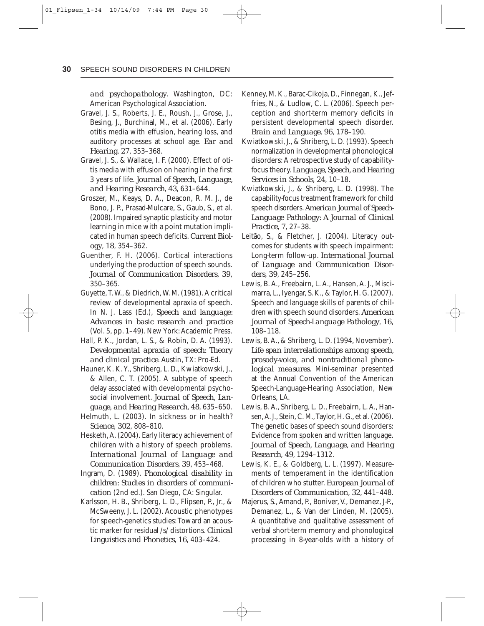*and psychopathology*. Washington, DC: American Psychological Association.

- Gravel, J. S., Roberts, J. E., Roush, J., Grose, J., Besing, J., Burchinal, M., et al. (2006). Early otitis media with effusion, hearing loss, and auditory processes at school age. *Ear and Hearing*, *27*, 353–368.
- Gravel, J. S., & Wallace, I. F. (2000). Effect of otitis media with effusion on hearing in the first 3 years of life. *Journal of Speech, Language, and Hearing Research*, *43*, 631–644.
- Groszer, M., Keays, D. A., Deacon, R. M. J., de Bono, J. P., Prasad-Mulcare, S., Gaub, S., et al. (2008). Impaired synaptic plasticity and motor learning in mice with a point mutation implicated in human speech deficits. *Current Biology*, *18*, 354–362.
- Guenther, F. H. (2006). Cortical interactions underlying the production of speech sounds. *Journal of Communication Disorders*, *39*, 350–365.
- Guyette,T.W., & Diedrich,W. M. (1981).A critical review of developmental apraxia of speech. In N. J. Lass (Ed.), *Speech and language: Advances in basic research and practice* (Vol. 5, pp. 1–49). New York: Academic Press.
- Hall, P. K., Jordan, L. S., & Robin, D. A. (1993). *Developmental apraxia of speech: Theory and clinical practice*. Austin, TX: Pro-Ed.
- Hauner, K. K. Y., Shriberg, L. D., Kwiatkowski, J., & Allen, C. T. (2005). A subtype of speech delay associated with developmental psychosocial involvement. *Journal of Speech, Language, and Hearing Research*, *48*, 635–650.
- Helmuth, L. (2003). In sickness or in health? *Science*, *302*, 808–810.
- Hesketh,A. (2004). Early literacy achievement of children with a history of speech problems. *International Journal of Language and Communication Disorders*, *39*, 453–468.
- Ingram, D. (1989). *Phonological disability in children: Studies in disorders of communication* (2nd ed.). San Diego, CA: Singular.
- Karlsson, H. B., Shriberg, L. D., Flipsen, P., Jr., & McSweeny, J. L. (2002). Acoustic phenotypes for speech-genetics studies:Toward an acoustic marker for residual /s/ distortions. *Clinical Linguistics and Phonetics*, *16*, 403–424.
- Kenney, M. K., Barac-Cikoja, D., Finnegan, K., Jeffries, N., & Ludlow, C. L. (2006). Speech perception and short-term memory deficits in persistent developmental speech disorder. *Brain and Language*, *96*, 178–190.
- Kwiatkowski, J., & Shriberg, L. D. (1993). Speech normalization in developmental phonological disorders: A retrospective study of capabilityfocus theory. *Language, Speech, and Hearing Services in Schools*, *24*, 10–18.
- Kwiatkowski, J., & Shriberg, L. D. (1998). The capability-focus treatment framework for child speech disorders.*American Journal of Speech-Language Pathology: A Journal of Clinical Practice*, *7*, 27–38.
- Leitão, S., & Fletcher, J. (2004). Literacy outcomes for students with speech impairment: Long-term follow-up. *International Journal of Language and Communication Disorders*, *39*, 245–256.
- Lewis, B. A., Freebairn, L. A., Hansen, A. J., Miscimarra, L., Iyengar, S. K., & Taylor, H. G. (2007). Speech and language skills of parents of children with speech sound disorders. *American Journal of Speech-Language Pathology*, *16*, 108–118.
- Lewis, B. A., & Shriberg, L. D. (1994, November). *Life span interrelationships among speech, prosody-voice, and nontraditional phonological measures*. Mini-seminar presented at the Annual Convention of the American Speech-Language-Hearing Association, New Orleans, LA.
- Lewis, B. A., Shriberg, L. D., Freebairn, L. A., Hansen, A. J., Stein, C. M., Taylor, H. G., et al. (2006). The genetic bases of speech sound disorders: Evidence from spoken and written language. *Journal of Speech, Language, and Hearing Research*, *49*, 1294–1312.
- Lewis, K. E., & Goldberg, L. L. (1997). Measurements of temperament in the identification of children who stutter. *European Journal of Disorders of Communication*, *32*, 441–448.
- Majerus, S., Amand, P., Boniver, V., Demanez, J-P., Demanez, L., & Van der Linden, M. (2005). A quantitative and qualitative assessment of verbal short-term memory and phonological processing in 8-year-olds with a history of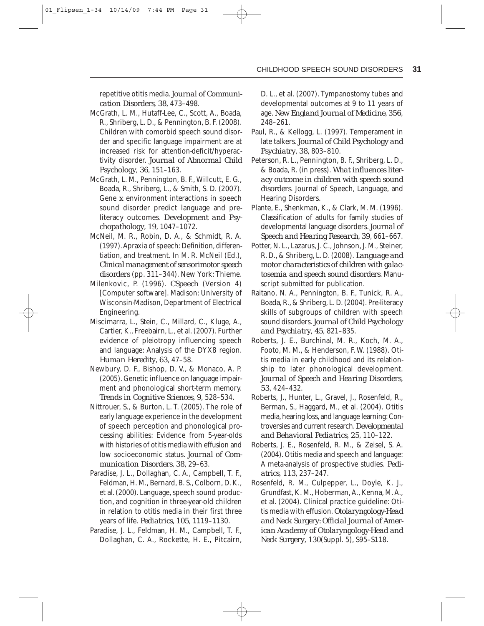repetitive otitis media.*Journal of Communication Disorders*, *38*, 473–498.

- McGrath, L. M., Hutaff-Lee, C., Scott, A., Boada, R., Shriberg, L. D., & Pennington, B. F. (2008). Children with comorbid speech sound disorder and specific language impairment are at increased risk for attention-deficit/hyperactivity disorder. *Journal of Abnormal Child Psychology*, *36*, 151–163.
- McGrath, L. M., Pennington, B. F., Willcutt, E. G., Boada, R., Shriberg, L., & Smith, S. D. (2007). Gene *x* environment interactions in speech sound disorder predict language and preliteracy outcomes. *Development and Psychopathology*, *19*, 1047–1072.
- McNeil, M. R., Robin, D. A., & Schmidt, R. A. (1997).Apraxia of speech: Definition, differentiation, and treatment. In M. R. McNeil (Ed.), *Clinical management of sensorimotor speech disorders* (pp. 311–344). New York: Thieme.
- Milenkovic, P. (1996). *CSpeech* (Version 4) [Computer software]. Madison: University of Wisconsin-Madison, Department of Electrical Engineering.
- Miscimarra, L., Stein, C., Millard, C., Kluge, A., Cartier, K., Freebairn, L., et al. (2007). Further evidence of pleiotropy influencing speech and language: Analysis of the DYX8 region. *Human Heredity*, *63*, 47–58.
- Newbury, D. F., Bishop, D. V., & Monaco, A. P. (2005). Genetic influence on language impairment and phonological short-term memory. *Trends in Cognitive Sciences*, *9*, 528–534.
- Nittrouer, S., & Burton, L. T. (2005). The role of early language experience in the development of speech perception and phonological processing abilities: Evidence from 5-year-olds with histories of otitis media with effusion and low socioeconomic status. *Journal of Communication Disorders*, *38*, 29–63.
- Paradise, J. L., Dollaghan, C. A., Campbell, T. F., Feldman, H. M., Bernard, B. S., Colborn, D. K., et al. (2000). Language, speech sound production, and cognition in three-year-old children in relation to otitis media in their first three years of life. *Pediatrics*, *105*, 1119–1130.
- Paradise, J. L., Feldman, H. M., Campbell, T. F., Dollaghan, C. A., Rockette, H. E., Pitcairn,

D. L., et al. (2007). Tympanostomy tubes and developmental outcomes at 9 to 11 years of age.*New England Journal of Medicine*, *356*, 248–261.

- Paul, R., & Kellogg, L. (1997). Temperament in late talkers.*Journal of Child Psychology and Psychiatry*, *38*, 803–810.
- Peterson, R. L., Pennington, B. F., Shriberg, L. D., & Boada, R. (in press). *What influences literacy outcome in children with speech sound disorders*. Journal of Speech, Language, and Hearing Disorders.
- Plante, E., Shenkman, K., & Clark, M. M. (1996). Classification of adults for family studies of developmental language disorders.*Journal of Speech and Hearing Research*, *39*, 661–667.
- Potter, N. L., Lazarus, J. C., Johnson, J. M., Steiner, R. D., & Shriberg, L. D. (2008). *Language and motor characteristics of children with galactosemia and speech sound disorders*. Manuscript submitted for publication.
- Raitano, N. A., Pennington, B. F., Tunick, R. A., Boada, R., & Shriberg, L. D. (2004). Pre-literacy skills of subgroups of children with speech sound disorders.*Journal of Child Psychology and Psychiatry*, *45*, 821–835.
- Roberts, J. E., Burchinal, M. R., Koch, M. A., Footo, M. M., & Henderson, F. W. (1988). Otitis media in early childhood and its relationship to later phonological development. *Journal of Speech and Hearing Disorders*, *53*, 424–432.
- Roberts, J., Hunter, L., Gravel, J., Rosenfeld, R., Berman, S., Haggard, M., et al. (2004). Otitis media, hearing loss, and language learning: Controversies and current research.*Developmental and Behavioral Pediatrics*, *25*, 110–122.
- Roberts, J. E., Rosenfeld, R. M., & Zeisel, S. A. (2004). Otitis media and speech and language: A meta-analysis of prospective studies. *Pediatrics*, *113*, 237–247.
- Rosenfeld, R. M., Culpepper, L., Doyle, K. J., Grundfast, K. M., Hoberman, A., Kenna, M. A., et al. (2004). Clinical practice guideline: Otitis media with effusion. *Otolaryngology*-*Head and Neck Surgery: Official Journal of American Academy of Otolaryngology-Head and Neck Surgery*, *130*(Suppl. 5), S95–S118.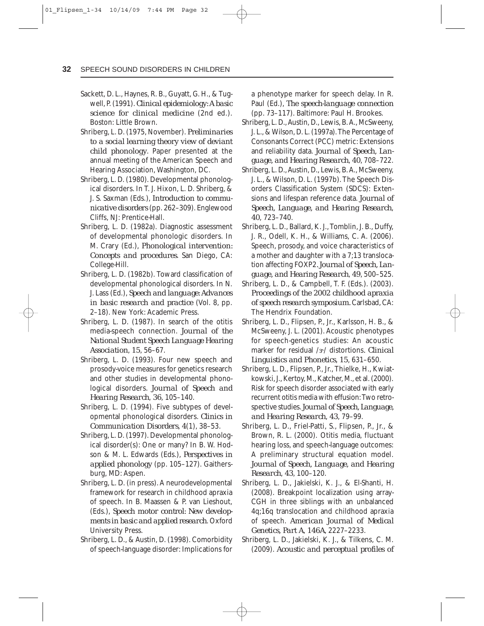- Sackett, D. L., Haynes, R. B., Guyatt, G. H., & Tugwell, P. (1991). *Clinical epidemiology: A basic science for clinical medicine* (2nd ed.). Boston: Little Brown.
- Shriberg, L. D. (1975, November). *Preliminaries to a social learning theory view of deviant child phonology*. Paper presented at the annual meeting of the American Speech and Hearing Association, Washington, DC.
- Shriberg, L. D. (1980). Developmental phonological disorders. In T. J. Hixon, L. D. Shriberg, & J. S. Saxman (Eds.), *Introduction to communicative disorders* (pp. 262–309). Englewood Cliffs, NJ: Prentice-Hall.
- Shriberg, L. D. (1982a). Diagnostic assessment of developmental phonologic disorders. In M. Crary (Ed.), *Phonological intervention: Concepts and procedures*. San Diego, CA: College-Hill.
- Shriberg, L. D. (1982b). Toward classification of developmental phonological disorders. In N. J. Lass (Ed.), *Speech and language: Advances in basic research and practice* (Vol. 8, pp. 2–18). New York: Academic Press.
- Shriberg, L. D. (1987). In search of the otitis media-speech connection. *Journal of the National Student Speech Language Hearing Association*, *15*, 56–67.
- Shriberg, L. D. (1993). Four new speech and prosody-voice measures for genetics research and other studies in developmental phonological disorders. *Journal of Speech and Hearing Research*, *36*, 105–140.
- Shriberg, L. D. (1994). Five subtypes of developmental phonological disorders. *Clinics in Communication Disorders*, *4*(1), 38–53.
- Shriberg, L. D. (1997). Developmental phonological disorder(s): One or many? In B. W. Hodson & M. L. Edwards (Eds.), *Perspectives in applied phonology* (pp. 105–127). Gaithersburg, MD: Aspen.
- Shriberg, L. D. (in press). A neurodevelopmental framework for research in childhood apraxia of speech. In B. Maassen & P. van Lieshout, (Eds.), *Speech motor control: New developments in basic and applied research*. Oxford University Press.
- Shriberg, L. D., & Austin, D. (1998). Comorbidity of speech-language disorder: Implications for

a phenotype marker for speech delay. In R. Paul (Ed.), *The speech-language connection* (pp. 73–117). Baltimore: Paul H. Brookes.

- Shriberg, L. D., Austin, D., Lewis, B. A., McSweeny, J. L., & Wilson, D. L. (1997a).The Percentage of Consonants Correct (PCC) metric: Extensions and reliability data. *Journal of Speech, Language, and Hearing Research*, *40*, 708–722.
- Shriberg, L. D., Austin, D., Lewis, B. A., McSweeny, J. L., & Wilson, D. L. (1997b). The Speech Disorders Classification System (SDCS): Extensions and lifespan reference data. *Journal of Speech, Language, and Hearing Research*, *40*, 723–740.
- Shriberg, L. D., Ballard, K. J.,Tomblin, J. B., Duffy, J. R., Odell, K. H., & Williams, C. A. (2006). Speech, prosody, and voice characteristics of a mother and daughter with a 7;13 translocation affecting FOXP2*. Journal of Speech, Language, and Hearing Research*, *49*, 500–525.
- Shriberg, L. D., & Campbell, T. F. (Eds.). (2003). *Proceedings of the 2002 childhood apraxia of speech research symposium.* Carlsbad, CA: The Hendrix Foundation.
- Shriberg, L. D., Flipsen, P., Jr., Karlsson, H. B., & McSweeny, J. L. (2001). Acoustic phenotypes for speech-genetics studies: An acoustic marker for residual /-/ distortions*. Clinical Linguistics and Phonetics*, *15*, 631–650.
- Shriberg, L. D., Flipsen, P., Jr., Thielke, H., Kwiatkowski, J., Kertoy, M., Katcher, M., et al. (2000). Risk for speech disorder associated with early recurrent otitis media with effusion:Two retrospective studies.*Journal of Speech, Language, and Hearing Research*, *43*, 79–99.
- Shriberg, L. D., Friel-Patti, S., Flipsen, P., Jr., & Brown, R. L. (2000). Otitis media, fluctuant hearing loss, and speech-language outcomes: A preliminary structural equation model. *Journal of Speech, Language, and Hearing Research*, *43*, 100–120.
- Shriberg, L. D., Jakielski, K. J., & El-Shanti, H. (2008). Breakpoint localization using array-CGH in three siblings with an unbalanced 4q;16q translocation and childhood apraxia of speech. *American Journal of Medical Genetics, Part A*, *146A*, 2227–2233.
- Shriberg, L. D., Jakielski, K. J., & Tilkens, C. M. (2009). *Acoustic and perceptual profiles of*